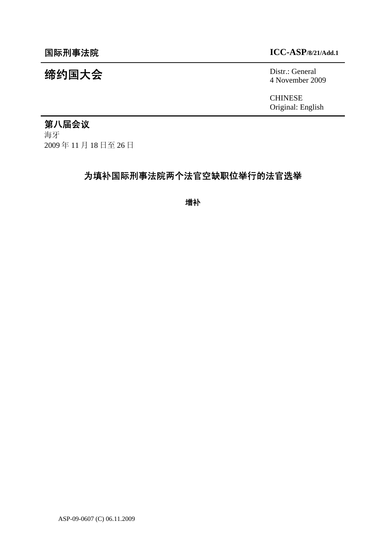# 缔约国大会 Distr.: General

# 国际刑事法院 **ICC-ASP/8/21/Add.1**

4 November 2009

**CHINESE** Original: English

# 第八届会议

海牙 2009 年 11 月 18 日至 26 日

# 为填补国际刑事法院两个法官空缺职位举行的法官选举

增补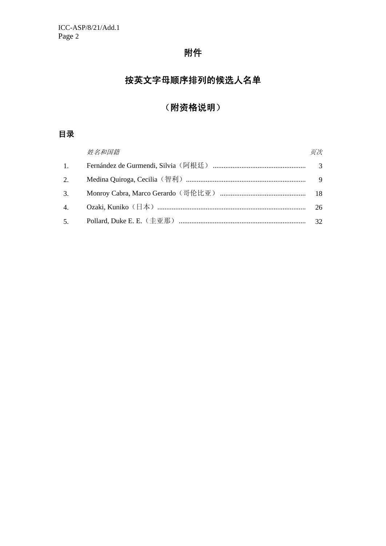# 附件

# 按英文字母顺序排列的候选人名单

# (附资格说明)

# 目录

|    | 姓名和国籍 | 页次 |
|----|-------|----|
| 1. |       |    |
|    |       |    |
|    |       |    |
|    |       | 26 |
|    |       |    |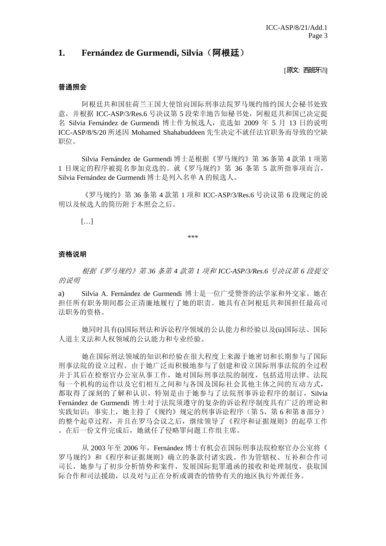# **1. Fernández de Gurmendi, Silvia**(阿根廷)

[原文:西班牙语]

# 普通照会

阿根廷共和国驻荷兰王国大使馆向国际刑事法院罗马规约缔约国大会秘书处致 意, 并根据 ICC-ASP/3/Res.6 号决议第 5 段荣幸地告知秘书处, 阿根廷共和国已决定提 名 Silvia Fernández de Gurmendi 博士作为候选人, 竞选如 2009 年 5 月 13 日的说明 ICC-ASP/8/S/20 所述因 Mohamed Shahabuddeen 先生决定不就任法官职务而导致的空缺 职位。

 Silvia Fernández de Gurmendi 博士是根据《罗马规约》第 36 条第 4 款第 1 项第 1 目规定的程序被提名参加竞选的。就《罗马规约》第 36 条第 5 款所指事项而言, Silvia Fernández de Gurmendi 博士是列入名单 A 的候选人。

《罗马规约》第 36 条第 4 款第 1 项和 ICC-ASP/3/Res.6 号决议第 6 段规定的说 明以及候选人的简历附于本照会之后。

 $[\dots]$ 

\*\*\*

#### 资格说明

根据《罗马规约》第 *36* 条第 *4* 款第 *1* 项和 *ICC-ASP/3/Res.6* 号决议第 *6* 段提交 的说明

a) Silvia A. Fernández de Gurmendi 博士是一位广受赞誉的法学家和外交家。她在 担任所有职务期间都公正清廉地履行了她的职责。她具有在阿根廷共和国担任最高司 法职务的资格。

 她同时具有(i)国际刑法和诉讼程序领域的公认能力和经验以及(ii)国际法、国际 人道主义法和人权领域的公认能力和专业经验。

 她在国际刑法领域的知识和经验在很大程度上来源于她密切和长期参与了国际 刑事法院的设立过程。由于她广泛而积极地参与了创建和设立国际刑事法院的全过程 并于其后在检察官办公室从事工作,她对国际刑事法院的制度,包括适用法律、法院 每一个机构的运作以及它们相互之间和与各国及国际社会其他主体之间的互动方式, 都取得了深刻的了解和认识。特别是由于她参与了法院刑事诉讼程序的制订,Silvia Fernández de Gurmendi 博士对于法院须遵守的复杂的诉讼程序制度具有广泛的理论和 实践知识;事实上,她主持了《规约》规定的刑事诉讼程序(第 5、第 6 和第 8 部分) 的整个起草过程,并且在罗马会议之后,继续领导了《程序和证据规则》的起草工作 。在后一份文件完成后,她就任了侵略罪问题工作组主席。

 从 2003 年至 2006 年,Fernández 博士有机会在国际刑事法院检察官办公室将《 罗马规约》和《程序和证据规则》确立的条款付诸实践。作为管辖权、互补和合作司 司长,她参与了初步分析情势和案件,发展国际犯罪通函的接收和处理制度,获取国 际合作和司法援助,以及对与正在分析或调查的情势有关的地区执行外派任务。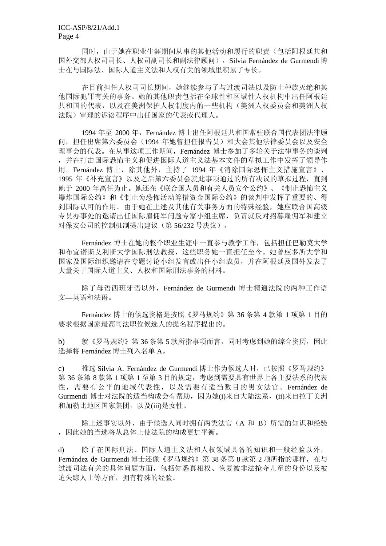同时,由于她在职业生涯期间从事的其他活动和履行的职责(包括阿根廷共和 国外交部人权司司长、人权司副司长和副法律顾问),Silvia Fernández de Gurmendi 博 士在与国际法、国际人道主义法和人权有关的领域里积累了专长。

 在目前担任人权司司长期间,她继续参与了与过渡司法以及防止种族灭绝和其 他国际犯罪有关的事务。她的其他职责包括在全球性和区域性人权机构中出任阿根廷 共和国的代表,以及在美洲保护人权制度内的一些机构(美洲人权委员会和美洲人权 法院)审理的诉讼程序中出任国家的代表或代理人。

1994 年至 2000 年,Fernández 博士出任阿根廷共和国常驻联合国代表团法律顾 问,担任出席第六委员会(1994 年她曾担任报告员)和大会其他法律委员会以及安全 理事会的代表。在从事这项工作期间,Fernández 博士参加了多轮关于法律事务的谈判 ,并在打击国际恐怖主义和促进国际人道主义法基本文件的草拟工作中发挥了领导作 用。Fernández 博士,除其他外,主持了 1994 年《消除国际恐怖主义措施宣言》、 1995 年《补充宣言》以及之后第六委员会就此事项通过的所有决议的草拟过程,直到 她于 2000 年离任为止。她还在《联合国人员和有关人员安全公约》、《制止恐怖主义 爆炸国际公约》和《制止为恐怖活动筹措资金国际公约》的谈判中发挥了重要的、得 到国际认可的作用。由于她在上述及其他有关事务方面的特殊经验,她应联合国高级 专员办事处的邀请出任国际雇佣军问题专家小组主席,负责就反对招募雇佣军和建立 对保安公司的控制机制提出建议(第 56/232 号决议)。

Fernández 博士在她的整个职业生涯中一直参与教学工作,包括担任巴勒莫大学 和布宜诺斯艾利斯大学国际刑法教授,这些职务她一直担任至今。她曾应多所大学和 国家及国际组织邀请在专题讨论小组发言或出任小组成员,并在阿根廷及国外发表了 大量关于国际人道主义、人权和国际刑法事务的材料。

 除了母语西班牙语以外,Fernández de Gurmendi 博士精通法院的两种工作语 文—英语和法语。

Fernández 博士的候选资格是按照《罗马规约》第 36 条第 4 款第 1 项第 1 目的 要求根据国家最高司法职位候选人的提名程序提出的。

b) 就《罗马规约》第 36 条第 5 款所指事项而言, 同时考虑到她的综合资历, 因此 选择将 Fernández 博士列入名单 A。

c) 推选 Silvia A. Fernández de Gurmendi 博士作为候选人时,已按照《罗马规约》 第 36 条第 8 款第 1 项第 1 至第 3 目的规定,考虑到需要具有世界上各主要法系的代表 性,需要有公平的地域代表性,以及需要有适当数目的男女法官。Fernández de Gurmendi 博士对法院的适当构成会有帮助,因为她(i)来自大陆法系,(ii)来自拉丁美洲 和加勒比地区国家集团,以及(iii)是女性。

除上述事实以外,由于候选人同时拥有两类法官(A 和 B)所需的知识和经验 ,因此她的当选将从总体上使法院的构成更加平衡。

d) 除了在国际刑法、国际人道主义法和人权领域具备的知识和一般经验以外, Fernández de Gurmendi 博士还像《罗马规约》第 38 条第 8 款第 2 项所指的那样, 在与 过渡司法有关的具体问题方面,包括知悉真相权、恢复被非法抢夺儿童的身份以及被 迫失踪人士等方面,拥有特殊的经验。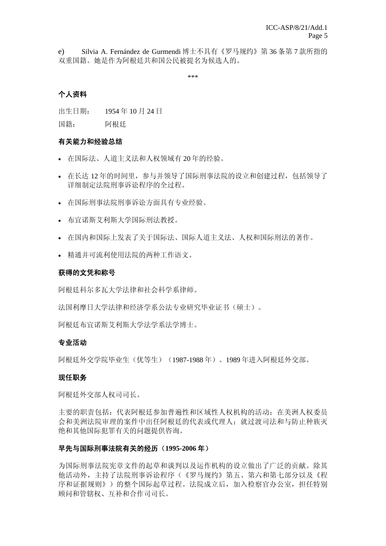e) Silvia A. Fernández de Gurmendi 博士不具有《罗马规约》第 36 条第 7 款所指的 双重国籍。她是作为阿根廷共和国公民被提名为候选人的。

\*\*\*

# 个人资料

出生日期: 1954 年 10 月 24 日

国籍: 阿根廷

# 有关能力和经验总结

- 在国际法、人道主义法和人权领域有 20 年的经验。
- 在长达 12 年的时间里,参与并领导了国际刑事法院的设立和创建过程,包括领导了 详细制定法院刑事诉讼程序的全过程。
- 在国际刑事法院刑事诉讼方面具有专业经验。
- 布宜诺斯艾利斯大学国际刑法教授。
- 在国内和国际上发表了关于国际法、国际人道主义法、人权和国际刑法的著作。
- 精通并可流利使用法院的两种工作语文。

# 获得的文凭和称号

阿根廷科尔多瓦大学法律和社会科学系律师。

法国利摩日大学法律和经济学系公法专业研究毕业证书(硕士)。

阿根廷布宜诺斯艾利斯大学法学系法学博士。

# 专业活动

阿根廷外交学院毕业生(优等生)(1987-1988 年)。1989 年进入阿根廷外交部。

# 现任职务

阿根廷外交部人权司司长。

主要的职责包括:代表阿根廷参加普遍性和区域性人权机构的活动;在美洲人权委员 会和美洲法院审理的案件中出任阿根廷的代表或代理人;就过渡司法和与防止种族灭 绝和其他国际犯罪有关的问题提供咨询。

# 早先与国际刑事法院有关的经历(**1995-2006** 年)

为国际刑事法院宪章文件的起草和谈判以及运作机构的设立做出了广泛的贡献。除其 他活动外,主持了法院刑事诉讼程序(《罗马规约》第五、第六和第七部分以及《程 序和证据规则》)的整个国际起草过程。法院成立后,加入检察官办公室,担任特别 顾问和管辖权、互补和合作司司长。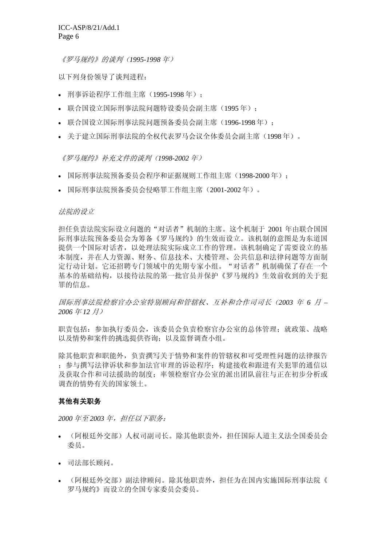《罗马规约》的谈判(*1995-1998* 年)

以下列身份领导了谈判进程:

- 刑事诉讼程序工作组主席(1995-1998 年);
- 联合国设立国际刑事法院问题特设委员会副主席(1995 年);
- 联合国设立国际刑事法院问题预备委员会副主席(1996-1998年);
- 关于建立国际刑事法院的全权代表罗马会议全体委员会副主席(1998 年)。

《罗马规约》补充文件的谈判(*1998-2002* 年)

- 国际刑事法院预备委员会程序和证据规则工作组主席(1998-2000年);
- 国际刑事法院预备委员会侵略罪工作组主席(2001-2002 年)。

#### 法院的设立

担任负责法院实际设立问题的"对话者"机制的主席。这个机制于 2001 年由联合国国 际刑事法院预备委员会为筹备《罗马规约》的生效而设立。该机制的意图是为东道国 提供一个国际对话者,以处理法院实际成立工作的管理。该机制确定了需要设立的基 本制度,并在人力资源、财务、信息技术、大楼管理、公共信息和法律问题等方面制 定行动计划。它还招聘专门领域中的先期专家小组。"对话者"机制确保了存在一个 基本的基础结构,以接待法院的第一批官员并保护《罗马规约》生效前收到的关于犯 罪的信息。

国际刑事法院检察官办公室特别顾问和管辖权、互补和合作司司长(*2003* 年 *6* 月 *– 2006* 年 *12* 月)

职责包括: 参加执行委员会,该委员会负责检察官办公室的总体管理; 就政策、战略 以及情势和案件的挑选提供咨询;以及监督调查小组。

除其他职责和职能外,负责撰写关于情势和案件的管辖权和可受理性问题的法律报告 ;参与撰写法律诉状和参加法官审理的诉讼程序;构建接收和跟进有关犯罪的通信以 及获取合作和司法援助的制度;率领检察官办公室的派出团队前往与正在初步分析或 调查的情势有关的国家领土。

#### 其他有关职务

*2000* 年至 *2003* 年,担任以下职务:

- (阿根廷外交部)人权司副司长。除其他职责外,担任国际人道主义法全国委员会 委员。
- 司法部长顾问。
- (阿根廷外交部)副法律顾问。除其他职责外,担任为在国内实施国际刑事法院《 罗马规约》而设立的全国专家委员会委员。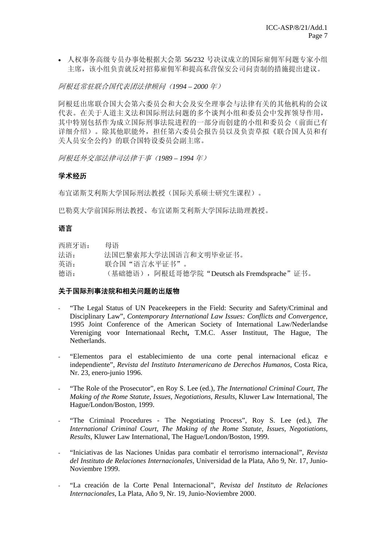• 人权事务高级专员办事处根据大会第 56/232 号决议成立的国际雇佣军问题专家小组 主席,该小组负责就反对招募雇佣军和提高私营保安公司问责制的措施提出建议。

阿根廷常驻联合国代表团法律顾问(*1994 – 2000* 年)

阿根廷出席联合国大会第六委员会和大会及安全理事会与法律有关的其他机构的会议 代表。在关于人道主义法和国际刑法问题的多个谈判小组和委员会中发挥领导作用, 其中特别包括作为成立国际刑事法院进程的一部分而创建的小组和委员会(前面已有 详细介绍)。除其他职能外,担任第六委员会报告员以及负责草拟《联合国人员和有 关人员安全公约》的联合国特设委员会副主席。

阿根廷外交部法律司法律干事(*1989 – 1994* 年)

# 学术经历

布宜诺斯艾利斯大学国际刑法教授(国际关系硕士研究生课程)。

巴勒莫大学前国际刑法教授、布宜诺斯艾利斯大学国际法助理教授。

# 语言

| 西班牙语: | 母语                                          |
|-------|---------------------------------------------|
| 法语:   | 法国巴黎索邦大学法国语言和文明毕业证书。                        |
| 英语:   | 联合国"语言水平证书"。                                |
| 德语:   | (基础德语),阿根廷哥德学院"Deutsch als Fremdsprache"证书。 |

# 关于国际刑事法院和相关问题的出版物

- "The Legal Status of UN Peacekeepers in the Field: Security and Safety/Criminal and Disciplinary Law", *Contemporary International Law Issues: Conflicts and Convergence*, 1995 Joint Conference of the American Society of International Law/Nederlandse Vereniging voor Internationaal Recht**,** T.M.C. Asser Instituut, The Hague, The Netherlands.
- "Elementos para el establecimiento de una corte penal internacional eficaz e independiente", *Revista del Instituto Interamericano de Derechos Humanos*, Costa Rica, Nr. 23, enero-junio 1996.
- "The Role of the Prosecutor", en Roy S. Lee (ed.), *The International Criminal Court, The Making of the Rome Statute, Issues, Negotiations*, *Results,* Kluwer Law International, The Hague/London/Boston, 1999.
- "The Criminal Procedures The Negotiating Process", Roy S. Lee (ed.), The *International Criminal Court, The Making of the Rome Statute, Issues, Negotiations, Results*, Kluwer Law International, The Hague/London/Boston, 1999.
- "Iniciativas de las Naciones Unidas para combatir el terrorismo internacional", *Revista del Instituto de Relaciones Internacionales*, Universidad de la Plata, Año 9, Nr. 17, Junio-Noviembre 1999.
- "La creación de la Corte Penal Internacional", *Revista del Instituto de Relaciones Internacionales*, La Plata, Año 9, Nr. 19, Junio-Noviembre 2000.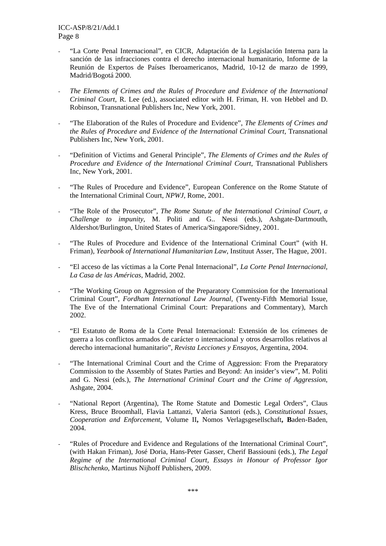- "La Corte Penal Internacional", en CICR, Adaptación de la Legislación Interna para la sanción de las infracciones contra el derecho internacional humanitario, Informe de la Reunión de Expertos de Países Iberoamericanos, Madrid, 10-12 de marzo de 1999, Madrid/Bogotá 2000.
- *The Elements of Crimes and the Rules of Procedure and Evidence of the International Criminal Court*, R. Lee (ed.), associated editor with H. Friman, H. von Hebbel and D. Robinson, Transnational Publishers Inc, New York, 2001.
- "The Elaboration of the Rules of Procedure and Evidence", *The Elements of Crimes and the Rules of Procedure and Evidence of the International Criminal Court*, Transnational Publishers Inc, New York, 2001.
- "Definition of Victims and General Principle", *The Elements of Crimes and the Rules of Procedure and Evidence of the International Criminal Court*, Transnational Publishers Inc, New York, 2001.
- "The Rules of Procedure and Evidence", European Conference on the Rome Statute of the International Criminal Court, *NPWJ,* Rome, 2001.
- "The Role of the Prosecutor", *The Rome Statute of the International Criminal Court, a Challenge to impunity*, M. Politi and G.. Nessi (eds.), Ashgate-Dartmouth, Aldershot/Burlington, United States of America/Singapore/Sidney, 2001.
- "The Rules of Procedure and Evidence of the International Criminal Court" (with H. Friman), *Yearbook of International Humanitarian Law*, Instituut Asser, The Hague, 2001.
- "El acceso de las víctimas a la Corte Penal Internacional", *La Corte Penal Internacional, La Casa de las Américas*, Madrid, 2002.
- "The Working Group on Aggression of the Preparatory Commission for the International Criminal Court", *Fordham International Law Journal*, (Twenty-Fifth Memorial Issue, The Eve of the International Criminal Court: Preparations and Commentary), March 2002.
- "El Estatuto de Roma de la Corte Penal Internacional: Extensión de los crímenes de guerra a los conflictos armados de carácter o internacional y otros desarrollos relativos al derecho internacional humanitario", *Revista Lecciones y Ensayos*, Argentina, 2004.
- "The International Criminal Court and the Crime of Aggression: From the Preparatory Commission to the Assembly of States Parties and Beyond: An insider's view", M. Politi and G. Nessi (eds.), *The International Criminal Court and the Crime of Aggression*, Ashgate, 2004.
- "National Report (Argentina), The Rome Statute and Domestic Legal Orders", Claus Kress, Bruce Broomhall, Flavia Lattanzi, Valeria Santori (eds.), *Constitutional Issues, Cooperation and Enforcement*, Volume II**,** Nomos Verlagsgesellschaft**, B**aden-Baden, 2004.
- "Rules of Procedure and Evidence and Regulations of the International Criminal Court", (with Hakan Friman), José Doria, Hans-Peter Gasser, Cherif Bassiouni (eds.), *The Legal Regime of the International Criminal Court, Essays in Honour of Professor Igor Blischchenko*, Martinus Nijhoff Publishers, 2009.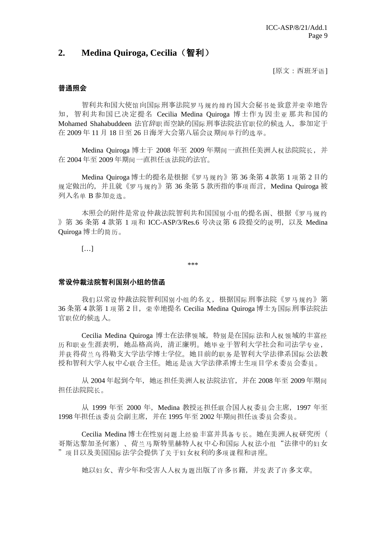# **2. Medina Quiroga, Cecilia**(智利)

[原文:西班牙语]

#### 普通照会

智利共和国大使馆向国际刑事法院罗马规约缔约国大会秘书处致意并荣幸地告 知,智利共和国已决定提名 Cecilia Medina Quiroga 博士作为 因圭亚 那共和国的 Mohamed Shahabuddeen 法官辞职而空缺的国际刑事法院法官职位的候选人,参加定于 在 2009 年 11 月 18 日至 26 日海牙大会第八届会议期间举行的选举。

Medina Quiroga 博士于 2008 年至 2009 年期间一直担任美洲人权法院院长,并 在 2004 年至 2009 年期间一直担任该法院的法官。

Medina Quiroga 博士的提名是根据《罗马规约》第 36 条第 4 款第 1 项第 2 目的 规定做出的,并且就《罗马规约》第 36 条第 5 款所指的事项而言,Medina Quiroga 被 列入名单 B 参加竞选。

本照会的附件是常设仲裁法院智利共和国国别小组的提名函、根据《罗马规约 》第 36 条第 4 款第 1 项和 ICC-ASP/3/Res.6 号决议第 6 段提交的说明, 以及 Medina Quiroga 博士的简历。

 $[\dots]$ 

\*\*\*

#### 常设仲裁法院智利国别小组的信函

我们以常设仲裁法院智利国别小组的名义,根据国际刑事法院《罗马规约》第 36 条第 4 款第 1 项第 2 目, 荣幸地提名 Cecilia Medina Ouiroga 博士为国际刑事法院法 官职位的候选人。

 Cecilia Medina Quiroga 博士在法律领域,特别是在国际法和人权领域的丰富经 历和职业生涯表明,她品格高尚,清正廉明。她毕业于智利大学社会和司法学专业, 并获得荷兰乌 得勒支大学法学博士学位。她目前的职务 是智利大学法律系国际 公法教 授和智利大学人权中心联合主任。她还是该大学法律系博士生项目学术委员会委员。

从 2004 年起到今年, 她还担任美洲人权法院法官, 并在 2008 年至 2009 年期间 担任法院院长。

从 1999 年至 2000 年, Medina 教授还担任联合国人权委员会主席, 1997 年至 1998 年担任该委员会副主席,并在 1995 年至 2002 年期间担任该委员会委员。

 Cecilia Medina 博士在性别问题上经验丰富并具备专长。她在美洲人权研究所( 哥斯达黎加圣何塞)、荷兰马斯特里赫特人权中心和国际人权法小组"法律中的妇女 "项目以及美国国际法学会提供了关于妇女权利的多项课程和讲座。

她以妇女、青少年和受害人人权为题出版了许多书籍,并发表了许多文章。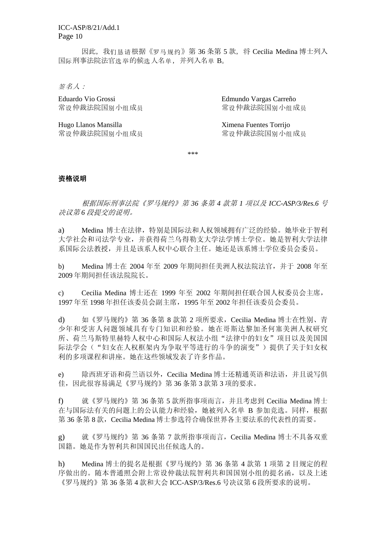ICC-ASP/8/21/Add.1 Page 10

因此, 我们恳请根据《罗马规约》第 36 条第 5 款, 将 Cecilia Medina 博士列入 国际刑事法院法官选举的候选人名单,并列入名单 B。

签名人:

Eduardo Vio Grossi Edmundo Vargas Carreño 常设仲裁法院国别小组成员 南成员 医二十二指数 医心包炎 化二氯化二氯化二氯

Hugo Llanos Mansilla Ximena Fuentes Torrijo

常设仲裁法院国别小组成员 成员 医心脏 医心脏 医单位 计数据 医副小组成员

\*\*\*

#### 资格说明

根据国际刑事法院《罗马规约》第 *36* 条第 *4* 款第 *1* 项以及 *ICC-ASP/3/Res.6* 号 决议第 *6* 段提交的说明。

a) Medina 博士在法律,特别是国际法和人权领域拥有广泛的经验。她毕业于智利 大学社会和司法学专业,并获得荷兰乌得勒支大学法学博士学位。她是智利大学法律 系国际公法教授,并且是该系人权中心联合主任。她还是该系博士学位委员会委员。

b) Medina 博士在 2004 年至 2009 年期间担任美洲人权法院法官,并于 2008 年至 2009 年期间担任该法院院长。

c) Cecilia Medina 博士还在 1999 年至 2002 年期间担任联合国人权委员会主席, 1997 年至 1998 年担任该委员会副主席,1995 年至 2002 年担任该委员会委员。

d) 如《罗马规约》第 36 条第 8 款第 2 项所要求,Cecilia Medina 博士在性别、青 少年和受害人问题领域具有专门知识和经验。她在哥斯达黎加圣何塞美洲人权研究 所、荷兰马斯特里赫特人权中心和国际人权法小组"法律中的妇女"项目以及美国国 际法学会("妇女在人权框架内为争取平等进行的斗争的演变")提供了关于妇女权 利的多项课程和讲座。她在这些领域发表了许多作品。

e) 除西班牙语和荷兰语以外,Cecilia Medina 博士还精通英语和法语,并且说写俱 佳,因此很容易满足《罗马规约》第 36 条第 3 款第 3 项的要求。

f) 就《罗马规约》第 36 条第 5 款所指事项而言,并且考虑到 Cecilia Medina 博士 在与国际法有关的问题上的公认能力和经验,她被列入名单 B 参加竞选。同样,根据 第 36 条第 8 款,Cecilia Medina 博士参选符合确保世界各主要法系的代表性的需要。

g) 就《罗马规约》第 36 条第 7 款所指事项而言,Cecilia Medina 博士不具备双重 国籍。她是作为智利共和国国民出任候选人的。

h) Medina 博士的提名是根据《罗马规约》第 36 条第 4 款第 1 项第 2 目规定的程 序做出的。随本普通照会附上常设仲裁法院智利共和国国别小组的提名函,以及上述 《罗马规约》第 36 条第 4 款和大会 ICC-ASP/3/Res.6 号决议第 6 段所要求的说明。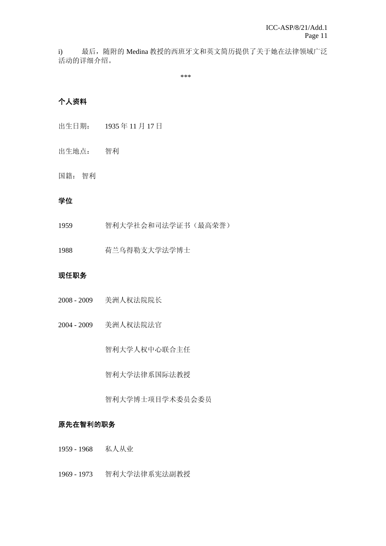i) 最后, 随附的 Medina 教授的西班牙文和英文简历提供了关于她在法律领域广泛 活动的详细介绍。

\*\*\*

# 个人资料

- 出生日期: 1935 年 11 月 17 日
- 出生地点: 智利

# 国籍: 智利

#### 学位

1959 智利大学社会和司法学证书(最高荣誉)

1988 荷兰乌得勒支大学法学博士

# 现任职务

- 2008 2009 美洲人权法院院长
- 2004 2009 美洲人权法院法官

智利大学人权中心联合主任

智利大学法律系国际法教授

智利大学博士项目学术委员会委员

# 原先在智利的职务

- 1959 1968 私人从业
- 1969 1973 智利大学法律系宪法副教授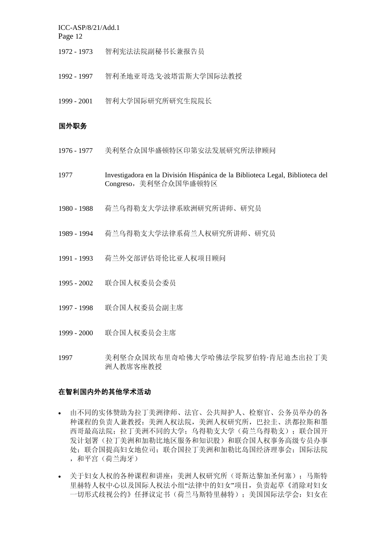ICC-ASP/8/21/Add.1

Page 12

- 1972 1973 智利宪法法院副秘书长兼报告员
- 1992 1997 智利圣地亚哥迭戈·波塔雷斯大学国际法教授
- 1999 2001 智利大学国际研究所研究生院院长

# 国外职务

- 1976 1977 美利坚合众国华盛顿特区印第安法发展研究所法律顾问
- 1977 Investigadora en la División Hispánica de la Biblioteca Legal, Biblioteca del Congreso,美利坚合众国华盛顿特区
- 1980 1988 荷兰乌得勒支大学法律系欧洲研究所讲师、研究员
- 1989 1994 荷兰乌得勒支大学法律系荷兰人权研究所讲师、研究员
- 1991 1993 荷兰外交部评估哥伦比亚人权项目顾问
- 1995 2002 联合国人权委员会委员
- 1997 1998 联合国人权委员会副主席
- 1999 2000 联合国人权委员会主席
- 1997 美利坚合众国坎布里奇哈佛大学哈佛法学院罗伯特·肯尼迪杰出拉丁美 洲人教席客座教授

#### 在智利国内外的其他学术活动

- 由不同的实体赞助为拉丁美洲律师、法官、公共辩护人、检察官、公务员举办的各 种课程的负责人兼教授:美洲人权法院,美洲人权研究所,巴拉圭、洪都拉斯和墨 西哥最高法院;拉丁美洲不同的大学;乌得勒支大学(荷兰乌得勒支);联合国开 发计划署(拉丁美洲和加勒比地区服务和知识股)和联合国人权事务高级专员办事 处;联合国提高妇女地位司;联合国拉丁美洲和加勒比岛国经济理事会;国际法院 ,和平宫(荷兰海牙)
- 关于妇女人权的各种课程和讲座:美洲人权研究所(哥斯达黎加圣何塞);马斯特 里赫特人权中心以及国际人权法小组"法律中的妇女"项目,负责起草《消除对妇女 一切形式歧视公约》任择议定书(荷兰马斯特里赫特);美国国际法学会:妇女在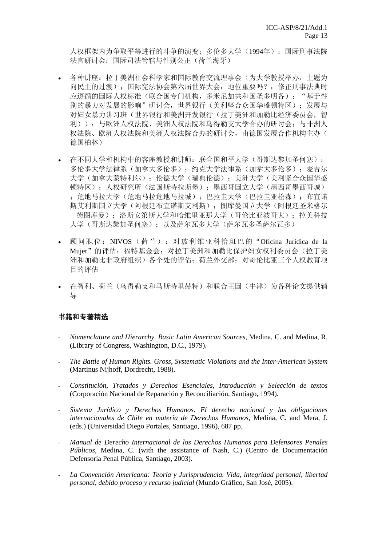人权框架内为争取平等进行的斗争的演变;多伦多大学(1994年);国际刑事法院 法官研讨会:国际司法管辖与性别公正(荷兰海牙)

- 各种讲座:拉丁美洲社会科学家和国际教育交流理事会(为大学教授举办,主题为 向民主的过渡);国际宪法协会第六届世界大会:地位重要吗?;修正刑事法典时 应遵循的国际人权标准(联合国专门机构,多米尼加共和国圣多明各); "基于性 别的暴力对发展的影响"研讨会,世界银行(美利坚合众国华盛顿特区);发展与 对妇女暴力讲习班(世界银行和美洲开发银行(拉丁美洲和加勒比经济委员会,智 利));与欧洲人权法院、美洲人权法院和乌得勒支大学合办的研讨会;与非洲人 权法院、欧洲人权法院和美洲人权法院合办的研讨会,由德国发展合作机构主办( 德国柏林)
- 在不同大学和机构中的客座教授和讲师:联合国和平大学(哥斯达黎加圣何塞); 多伦多大学法律系(加拿大多伦多);约克大学法律系(加拿大多伦多); 麦吉尔 大学(加拿大蒙特利尔);伦德大学(瑞典伦德);美洲大学(美利坚合众国华盛 顿特区);人权研究所(法国斯特拉斯堡);墨西哥国立大学(墨西哥墨西哥城) ;危地马拉大学(危地马拉危地马拉城);巴拉圭大学(巴拉圭亚松森);布宜诺 斯艾利斯国立大学(阿根廷布宜诺斯艾利斯);图库曼国立大学(阿根廷圣米格尔 – 德图库曼);洛斯安第斯大学和哈维里亚那大学(哥伦比亚波哥大);拉美科技 大学(哥斯达黎加圣何塞);以及萨尔瓦多大学(萨尔瓦多圣萨尔瓦多)
- 顾问职位:NIVOS(荷兰):对玻利维亚科恰班巴的"Oficina Jurídica de la Mujer"的评估;福特基金会: 对拉丁美洲和加勒比保护妇女权利委员会(拉丁美 洲和加勒比非政府组织)各个处的评估;荷兰外交部:对哥伦比亚三个人权教育项 目的评估
- 在智利、荷兰(乌得勒支和马斯特里赫特)和联合王国(牛津)为各种论文提供辅 导

#### 书籍和专著精选

- *Nomenclature and Hierarchy. Basic Latin American Sources*, Medina, C. and Medina, R. (Library of Congress, Washington, D.C., 1979).
- *The Battle of Human Rights. Gross, Systematic Violations and the Inter-American System* (Martinus Nijhoff, Dordrecht, 1988).
- *Constitución, Tratados y Derechos Esenciales, Introducción y Selección de textos* (Corporación Nacional de Reparación y Reconciliación, Santiago, 1994).
- *Sistema Jurídico y Derechos Humanos. El derecho nacional y las obligaciones internacionales de Chile en materia de Derechos Humanos*, Medina, C. and Mera, J. (eds.) (Universidad Diego Portales, Santiago, 1996), 687 pp.
- *Manual de Derecho Internacional de los Derechos Humanos para Defensores Penales Públicos*, Medina, C. (with the assistance of Nash, C.) (Centro de Documentación Defensoría Penal Pública, Santiago, 2003).
- *La Convención Americana: Teoría y Jurisprudencia. Vida, integridad personal, libertad personal, debido proceso y recurso judicial* (Mundo Gráfico, San José, 2005).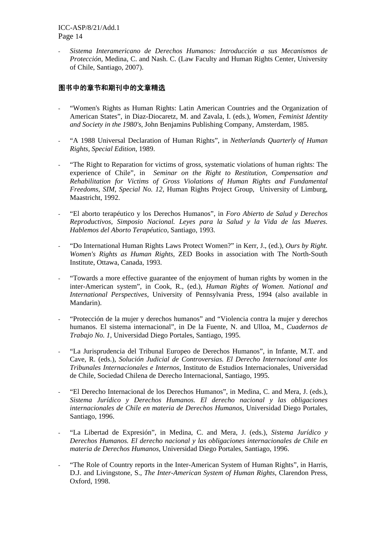- *Sistema Interamericano de Derechos Humanos: Introducción a sus Mecanismos de Protección*, Medina, C. and Nash. C. (Law Faculty and Human Rights Center, University of Chile, Santiago, 2007).

# 图书中的章节和期刊中的文章精选

- "Women's Rights as Human Rights: Latin American Countries and the Organization of American States", in Diaz-Diocaretz, M. and Zavala, I. (eds.), *Women, Feminist Identity and Society in the 1980's*, John Benjamins Publishing Company, Amsterdam, 1985.
- "A 1988 Universal Declaration of Human Rights", in *Netherlands Quarterly of Human Rights*, *Special Edition*, 1989.
- "The Right to Reparation for victims of gross, systematic violations of human rights: The experience of Chile", in *Seminar on the Right to Restitution, Compensation and Rehabilitation for Victims of Gross Violations of Human Rights and Fundamental Freedoms*, *SIM, Special No. 12,* Human Rights Project Group, University of Limburg, Maastricht, 1992.
- "El aborto terapéutico y los Derechos Humanos", in *Foro Abierto de Salud y Derechos Reproductivos, Simposio Nacional. Leyes para la Salud y la Vida de las Mueres. Hablemos del Aborto Terapéutico*, Santiago, 1993.
- "Do International Human Rights Laws Protect Women?" in Kerr, J., (ed.), *Ours by Right. Women's Rights as Human Rights*, ZED Books in association with The North-South Institute, Ottawa, Canada, 1993.
- "Towards a more effective guarantee of the enjoyment of human rights by women in the inter-American system", in Cook, R., (ed.), *Human Rights of Women. National and International Perspectives,* University of Pennsylvania Press, 1994 (also available in Mandarin).
- "Protección de la mujer y derechos humanos" and "Violencia contra la mujer y derechos humanos. El sistema internacional", in De la Fuente, N. and Ulloa, M., *Cuadernos de Trabajo No. 1*, Universidad Diego Portales, Santiago, 1995.
- "La Jurisprudencia del Tribunal Europeo de Derechos Humanos", in Infante, M.T. and Cave, R. (eds.), *Solución Judicial de Controversias. El Derecho Internacional ante los Tribunales Internacionales e Internos*, Instituto de Estudios Internacionales, Universidad de Chile, Sociedad Chilena de Derecho Internacional, Santiago, 1995.
- "El Derecho Internacional de los Derechos Humanos", in Medina, C. and Mera, J. (eds.), *Sistema Jurídico y Derechos Humanos. El derecho nacional y las obligaciones internacionales de Chile en materia de Derechos Humanos*, Universidad Diego Portales, Santiago, 1996.
- "La Libertad de Expresión", in Medina, C. and Mera, J. (eds.), *Sistema Jurídico y Derechos Humanos. El derecho nacional y las obligaciones internacionales de Chile en materia de Derechos Humanos*, Universidad Diego Portales, Santiago, 1996.
- "The Role of Country reports in the Inter-American System of Human Rights", in Harris, D.J. and Livingstone, S., *The Inter-American System of Human Rights*, Clarendon Press, Oxford, 1998.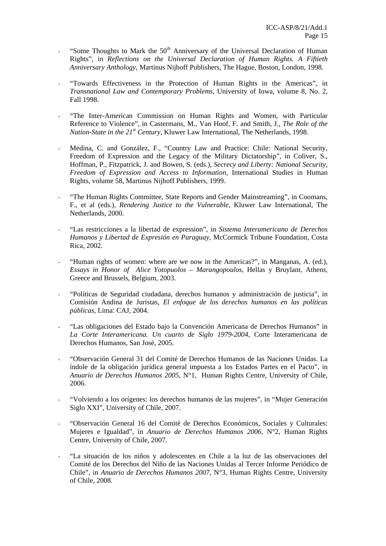- "Some Thoughts to Mark the  $50<sup>th</sup>$  Anniversary of the Universal Declaration of Human Rights", in *Reflections on the Universal Declaration of Human Rights. A Fiftieth Anniversary Anthology,* Martinus Nijhoff Publishers, The Hague, Boston, London, 1998.
- "Towards Effectiveness in the Protection of Human Rights in the Americas", in *Transnational Law and Contemporary Problems*, University of Iowa, volume 8, No. 2, Fall 1998.
- "The Inter-American Commission on Human Rights and Women, with Particular Reference to Violence", in Castermans, M., Van Hoof, F. and Smith, J., *The Role of the Nation-State in the 21st Century*, Kluwer Law International, The Netherlands, 1998.
- Medina, C. and González, F., "Country Law and Practice: Chile: National Security, Freedom of Expression and the Legacy of the Military Dictatorship", in Coliver, S., Hoffman, P., Fitzpatrick, J. and Bowen, S. (eds.), *Secrecy and Liberty: National Security, Freedom of Expression and Access to Information*, International Studies in Human Rights, volume 58, Martinus Nijhoff Publishers, 1999.
- "The Human Rights Committee, State Reports and Gender Mainstreaming", in Coomans, F., et al (eds.), *Rendering Justice to the Vulnerable*, Kluwer Law International, The Netherlands, 2000.
- "Las restricciones a la libertad de expression", in *Sistema Interamericano de Derechos Humanos y Libertad de Expresión en Paraguay*, McCormick Tribune Foundation, Costa Rica, 2002.
- "Human rights of women: where are we now in the Americas?", in Manganas, A. (ed.), *Essays in Honor of Alice Yotopuolos – Marangopoulos*, Hellas y Bruylant, Athens, Greece and Brussels, Belgium, 2003.
- "Políticas de Seguridad ciudadana, derechos humanos y administración de justicia", in Comisión Andina de Juristas, *El enfoque de los derechos humanos en las políticas públicas*, Lima: CAJ, 2004.
- "Las obligaciones del Estado bajo la Convención Americana de Derechos Humanos" in *La Corte Interamericana. Un cuarto de Siglo 1979-2004*, Corte Interamericana de Derechos Humanos, San José, 2005.
- "Observación General 31 del Comité de Derechos Humanos de las Naciones Unidas. La índole de la obligación jurídica general impuesta a los Estados Partes en el Pacto", in *Anuario de Derechos Humanos 2005*, N°1, Human Rights Centre, University of Chile, 2006.
- "Volviendo a los orígenes: los derechos humanos de las mujeres", in "Mujer Generación" Siglo XXI", University of Chile, 2007.
- "Observación General 16 del Comité de Derechos Económicos, Sociales y Culturales: Mujeres e Igualdad", in *Anuario de Derechos Humanos 2006*, N°2, Human Rights Centre, University of Chile, 2007.
- "La situación de los niños y adolescentes en Chile a la luz de las observaciones del Comité de los Derechos del Niño de las Naciones Unidas al Tercer Informe Periódico de Chile", in *Anuario de Derechos Humanos 2007*, N°3, Human Rights Centre, University of Chile, 2008*.*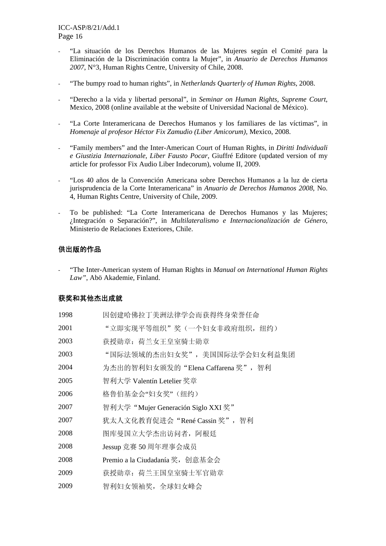- "La situación de los Derechos Humanos de las Mujeres según el Comité para la Eliminación de la Discriminación contra la Mujer", in *Anuario de Derechos Humanos 2007*, N°3, Human Rights Centre, University of Chile, 2008.
- "The bumpy road to human rights", in *Netherlands Quarterly of Human Rights*, 2008.
- "Derecho a la vida y libertad personal", in *Seminar on Human Rights, Supreme Court*, Mexico, 2008 (online available at the website of Universidad Nacional de México).
- "La Corte Interamericana de Derechos Humanos y los familiares de las víctimas", in *Homenaje al profesor Héctor Fix Zamudio (Liber Amicorum)*, Mexico, 2008.
- "Family members" and the Inter-American Court of Human Rights, in *Diritti Individuali e Giustizia Internazionale, Liber Fausto Pocar*, Giuffré Editore (updated version of my article for professor Fix Audio Liber Indecorum), volume II, 2009.
- "Los 40 años de la Convención Americana sobre Derechos Humanos a la luz de cierta jurisprudencia de la Corte Interamericana" in *Anuario de Derechos Humanos 2008*, No. 4, Human Rights Centre, University of Chile, 2009.
- To be published: "La Corte Interamericana de Derechos Humanos y las Mujeres; ¿Integración o Separación?", in *Multilateralismo e Internacionalización de Género*, Ministerio de Relaciones Exteriores, Chile.

# 供出版的作品

- "The Inter-American system of Human Rights in *Manual on International Human Rights Law"*, Abö Akademie, Finland.

# 获奖和其他杰出成就

| 1998 | 因创建哈佛拉丁美洲法律学会而获得终身荣誉任命              |
|------|-------------------------------------|
| 2001 | "立即实现平等组织"奖(一个妇女非政府组织, 纽约)          |
| 2003 | 获授勋章: 荷兰女王皇室骑士勋章                    |
| 2003 | "国际法领域的杰出妇女奖",美国国际法学会妇女利益集团         |
| 2004 | 为杰出的智利妇女颁发的"Elena Caffarena 奖", 智利  |
| 2005 | 智利大学 Valentín Letelier 奖章           |
| 2006 | 格鲁伯基金会"妇女奖"(纽约)                     |
| 2007 | 智利大学 "Mujer Generación Siglo XXI 奖" |
| 2007 | 犹太人文化教育促进会"René Cassin 奖",智利        |
| 2008 | 图库曼国立大学杰出访问者,阿根廷                    |
| 2008 | Jessup 竞赛 50 周年理事会成员                |
| 2008 | Premio a la Ciudadanía 奖, 创意基金会     |
| 2009 | 获授勋章: 荷兰王国皇室骑士军官勋章                  |
| 2009 | 智利妇女领袖奖,全球妇女峰会                      |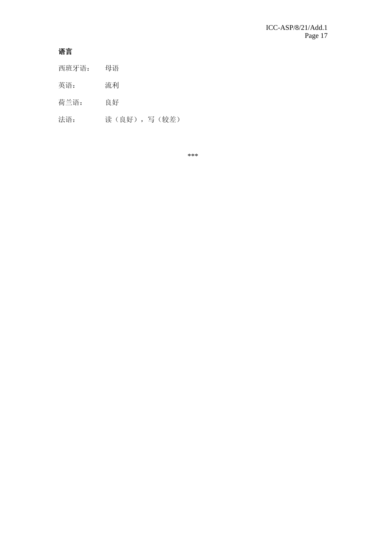# 语言

- 西班牙语: 母语
- 英语: 流利
- 荷兰语: 良好
- 法语: 读(良好),写(较差)

\*\*\*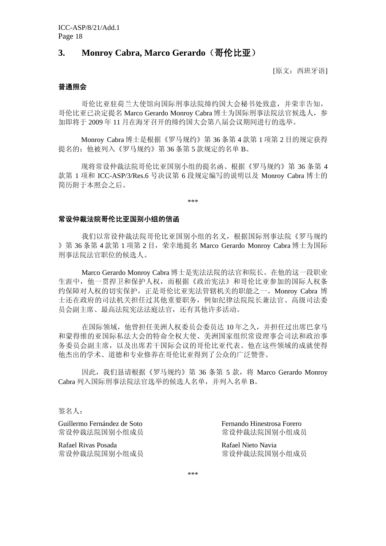# **3. Monroy Cabra, Marco Gerardo**(哥伦比亚)

[原文: 西班牙语]

# 普通照会

哥伦比亚驻荷兰大使馆向国际刑事法院缔约国大会秘书处致意,并荣幸告知, 哥伦比亚已决定提名 Marco Gerardo Monroy Cabra 博士为国际刑事法院法官候选人,参 加即将于 2009 年 11 月在海牙召开的缔约国大会第八届会议期间进行的选举。

Monroy Cabra 博士是根据《罗马规约》第 36 条第 4 款第 1 项第 2 目的规定获得 提名的;他被列入《罗马规约》第 36 条第 5 款规定的名单 B。

现将常设仲裁法院哥伦比亚国别小组的提名函、根据《罗马规约》第 36 条第 4 款第 1 项和 ICC-ASP/3/Res.6 号决议第 6 段规定编写的说明以及 Monroy Cabra 博士的 简历附于本照会之后。

\*\*\*

#### 常设仲裁法院哥伦比亚国别小组的信函

 我们以常设仲裁法院哥伦比亚国别小组的名义,根据国际刑事法院《罗马规约 》第 36 条第 4 款第 1 项第 2 目,荣幸地提名 Marco Gerardo Monroy Cabra 博士为国际 刑事法院法官职位的候选人。

Marco Gerardo Monroy Cabra 博士是宪法法院的法官和院长。在他的这一段职业 生涯中,他一贯捍卫和保护人权,而根据《政治宪法》和哥伦比亚参加的国际人权条 约保障对人权的切实保护,正是哥伦比亚宪法管辖机关的职能之一。Monroy Cabra 博 士还在政府的司法机关担任过其他重要职务,例如纪律法院院长兼法官、高级司法委 员会副主席、最高法院宪法法庭法官,还有其他许多活动。

 在国际领域,他曾担任美洲人权委员会委员达 10 年之久,并担任过出席巴拿马 和蒙得维的亚国际私法大会的特命全权大使、美洲国家组织常设理事会司法和政治事 务委员会副主席,以及出席若干国际会议的哥伦比亚代表。他在这些领域的成就使得 他杰出的学术、道德和专业修养在哥伦比亚得到了公众的广泛赞誉。

因此,我们恳请根据《罗马规约》第 36 条第 5 款, 将 Marco Gerardo Monroy Cabra 列入国际刑事法院法官选举的候选人名单,并列入名单 B。

# 签名人:

常设仲裁法院国别小组成员 南城县 医二十二指数 医神经性病 医骨折 医骨折

Rafael Rivas Posada Rafael Nieto Navia 常设仲裁法院国别小组成员

Guillermo Fernández de Soto Fernando Hinestrosa Forero

\*\*\*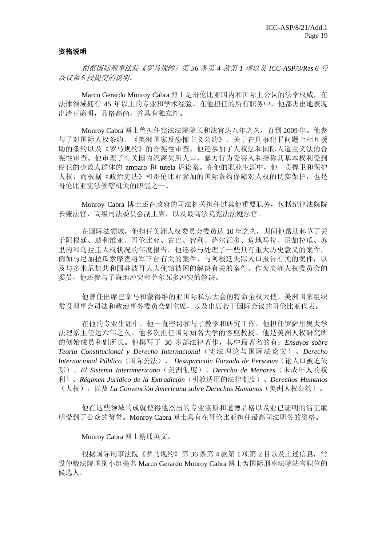#### 资格说明

根据国际刑事法院《罗马规约》第 *36* 条第 *4* 款第 *1* 项以及 *ICC-ASP/3/Res.6* 号 决议第 *6* 段提交的说明。

Marco Gerardo Monroy Cabra 博士是哥伦比亚国内和国际上公认的法学权威, 在 法律领域拥有 45 年以上的专业和学术经验。在他担任的所有职务中,他都杰出地表现 出清正廉明,品格高尚,并具有独立性。

Monroy Cabra 博士曾担任宪法法院院长和法官达八年之久,直到 2009 年。他参 与了对国际人权条约、《美洲国家反恐怖主义公约》、关于在刑事犯罪问题上相互援 助的条约以及《罗马规约》的合宪性审查。他还参加了人权法和国际人道主义法的合 宪性审查。他审理了有关国内流离失所人口、暴力行为受害人和指称其基本权利受到 侵犯的少数人群体的 amparo 和 tutela 诉讼案。在他的职业生涯中, 他一贯捍卫和保护 人权,而根据《政治宪法》和哥伦比亚参加的国际条约保障对人权的切实保护,也是 哥伦比亚宪法管辖机关的职能之一。

Monroy Cabra 博士还在政府的司法机关担任过其他重要职务,包括纪律法院院 长兼法官、高级司法委员会副主席,以及最高法院宪法法庭法官。

 在国际法领域,他担任美洲人权委员会委员达 10 年之久,期间他帮助起草了关 于阿根廷、玻利维亚、哥伦比亚、古巴、智利、萨尔瓦多、危地马拉、尼加拉瓜、苏 里南和乌拉圭人权状况的年度报告。他还参与处理了一些具有重大历史意义的案件, 例如与尼加拉瓜索摩查将军下台有关的案件、与阿根廷失踪人口报告有关的案件,以 及与多米尼加共和国驻波哥大大使馆被困的解决有关的案件。作为美洲人权委员会的 委员,他还参与了海地冲突和萨尔瓦多冲突的解决。

 他曾任出席巴拿马和蒙得维的亚国际私法大会的特命全权大使、美洲国家组织 常设理事会司法和政治事务委员会副主席,以及出席若干国际会议的哥伦比亚代表。

 在他的专业生涯中,他一直密切参与了教学和研究工作。他担任罗萨里奥大学 法理系主任达六年之久。他多次担任国际知名大学的客座教授。他是美洲人权研究所 的创始成员和副所长。他撰写了 30 多部法律著作,其中最著名的有:*Ensayos sobre Teoría Constitucional y Derecho Internacional*(宪法理论与国际法论文)、*Derecho Internacional Público*(国际公法)、 *Desaparición Forzada de Personas*(论人口被迫失 踪)、*El Sistema Interamericano*(美洲制度)、*Derecho de Menores*(未成年人的权 利)、*Régimen Jurídico de la Extradición*(引渡适用的法律制度)、*Derechos Humanos* (人权),以及 *La Convención Americana sobre Derechos Humanos*(美洲人权公约)。

 他在这些领域的成就使得他杰出的专业素质和道德品格以及业已证明的清正廉 明受到了公众的赞誉。Monroy Cabra 博士具有在哥伦比亚担任最高司法职务的资格。

Monroy Cabra 博士精通英文。

 根据国际刑事法院《罗马规约》第 36 条第 4 款第 1 项第 2 目以及上述信息,常 设仲裁法院国别小组提名 Marco Gerardo Monroy Cabra 博士为国际刑事法院法官职位的 候选人。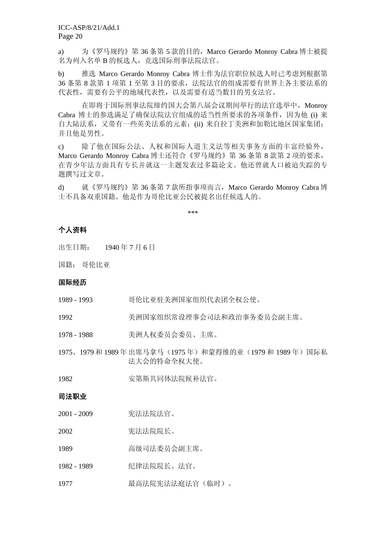ICC-ASP/8/21/Add.1 Page 20

a) 为《罗马规约》第 36 条第 5 款的目的, Marco Gerardo Monroy Cabra 博士被提 名为列入名单 B 的候选人, 竞选国际刑事法院法官。

b) 推选 Marco Gerardo Monroy Cabra 博士作为法官职位候选人时已考虑到根据第 36 条第 8 款第 1 项第 1 至第 3 目的要求,法院法官的组成需要有世界上各主要法系的 代表性,需要有公平的地域代表性,以及需要有适当数目的男女法官。

在即将于国际刑事法院缔约国大会第八届会议期间举行的法官选举中,Monroy Cabra 博士的参选满足了确保法院法官组成的适当性所要求的各项条件,因为他 (i) 来 自大陆法系,又带有一些英美法系的元素;(ii) 来自拉丁美洲和加勒比地区国家集团; 并且他是男性。

c) 除了他在国际公法、人权和国际人道主义法等相关事务方面的丰富经验外, Marco Gerardo Monroy Cabra 博士还符合《罗马规约》第 36 条第 8 款第 2 项的要求, 在青少年法方面具有专长并就这一主题发表过多篇论文。他还曾就人口被迫失踪的专 题撰写过文章。

d) 就《罗马规约》第 36 条第 7 款所指事项而言,Marco Gerardo Monroy Cabra 博 士不具备双重国籍。他是作为哥伦比亚公民被提名出任候选人的。

\*\*\*

# 个人资料

出生日期: 1940 年 7 月 6 日

国籍: 哥伦比亚

#### 国际经历

- 1989 1993 哥伦比亚驻美洲国家组织代表团全权公使。
- 1992 美洲国家组织常设理事会司法和政治事务委员会副主席。
- 1978 1988 美洲人权委员会委员、主席。
- 1975、1979 和 1989 年出席马拿马(1975 年)和蒙得维的亚(1979 和 1989 年)国际私 法大会的特命全权大使。
- 1982 安第斯共同体法院候补法官。

#### 司法职业

- 2001 2009 宪法法院法官。
- 2002 宪法法院院长。
- 1989 高级司法委员会副主席。
- 1982 1989 纪律法院院长、法官。
- 1977 最高法院宪法法庭法官(临时)。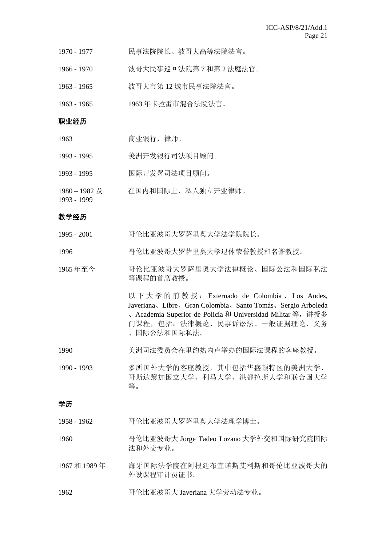- 1970 1977 民事法院院长、波哥大高等法院法官。
- 1966 1970 波哥大民事巡回法院第 7 和第 2 法庭法官。
- 1963 1965 波哥大市第 12 城市民事法院法官。
- 1963 1965 1963 年卡拉雷市混合法院法官。

#### 职业经历

- 1963 商业银行,律师。
- 1993 1995 美洲开发银行司法项目顾问。
- 1993 1995 国际开发署司法项目顾问。
- $1980 1982 \; \cancel{R}$ 在国内和国际上,私人独立开业律师。

#### 教学经历

1993 - 1999

- 1995 2001 哥伦比亚波哥大罗萨里奥大学法学院院长。
- 1996 哥伦比亚波哥大罗萨里奥大学退休荣誉教授和名誉教授。
- 1965 年至今 哥伦比亚波哥大罗萨里奥大学法律概论、国际公法和国际私法 等课程的首席教授。

以下大学的前教授: Externado de Colombia 、 Los Andes, Javeriana、Libre、Gran Colombia、Santo Tomás、Sergio Arboleda 、Academia Superior de Policía 和 Universidad Militar 等,讲授多 门课程,包括:法律概论、民事诉讼法、一般证据理论、义务 、国际公法和国际私法。

- 1990 美洲司法委员会在里约热内卢举办的国际法课程的客座教授。
- 1990 1993 多所国外大学的客座教授,其中包括华盛顿特区的美洲大学、 哥斯达黎加国立大学、利马大学、洪都拉斯大学和联合国大学 等。

#### 学历

- 1958 1962 哥伦比亚波哥大罗萨里奥大学法理学博士。
- 1960 哥伦比亚波哥大 Jorge Tadeo Lozano 大学外交和国际研究院国际 法和外交专业。
- 1967 和 1989 年 海牙国际法学院在阿根廷布宜诺斯艾利斯和哥伦比亚波哥大的 外设课程审计员证书。
- 1962 **The Table 哥伦比亚波哥大 Javeriana 大学劳动法专业。**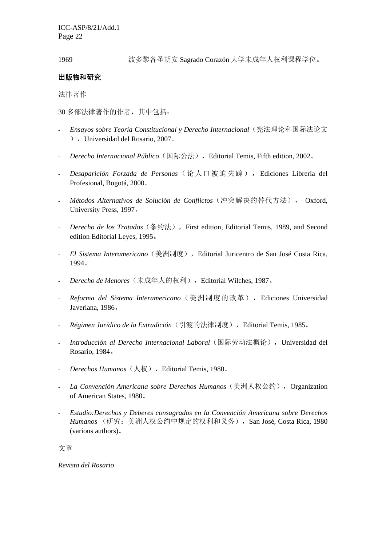ICC-ASP/8/21/Add.1 Page 22

1969 波多黎各圣胡安 Sagrado Corazón 大学未成年人权利课程学位。

### 出版物和研究

#### 法律著作

30 多部法律著作的作者,其中包括:

- *Ensayos sobre Teoría Constitucional y Derecho Internacional*(宪法理论和国际法论文 ),Universidad del Rosario, 2007。
- *Derecho Internacional Público*(国际公法),Editorial Temis, Fifth edition, 2002。
- *Desaparición Forzada de Personas*(论人口被迫失踪),Ediciones Librería del Profesional, Bogotá, 2000。
- *Métodos Alternativos de Solución de Conflictos*(冲突解决的替代方法), Oxford, University Press, 1997。
- *Derecho de los Tratados*(条约法),First edition, Editorial Temis, 1989, and Second edition Editorial Leyes, 1995。
- *El Sistema Interamericano*(美洲制度),Editorial Juricentro de San José Costa Rica, 1994。
- *Derecho de Menores*(未成年人的权利),Editorial Wilches, 1987。
- *Reforma del Sistema Interamericano*(美洲制度的改革),Ediciones Universidad Javeriana, 1986。
- *Régimen Jurídico de la Extradición*(引渡的法律制度),Editorial Temis, 1985。
- *Introducción al Derecho Internacional Laboral*(国际劳动法概论),Universidad del Rosario, 1984。
- *Derechos Humanos*(人权),Editorial Temis, 1980。
- *La Convención Americana sobre Derechos Humanos* (美洲人权公约), Organization of American States, 1980。
- *Estudio:Derechos y Deberes consagrados en la Convención Americana sobre Derechos Humanos* (研究:美洲人权公约中规定的权利和义务),San José, Costa Rica, 1980 (various authors)。

文章

*Revista del Rosario*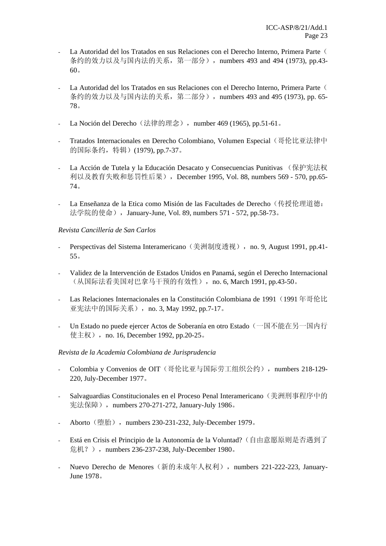- La Autoridad del los Tratados en sus Relaciones con el Derecho Interno, Primera Parte ( 条约的效力以及与国内法的关系, 第一部分), numbers 493 and 494 (1973), pp.43-60。
- La Autoridad del los Tratados en sus Relaciones con el Derecho Interno, Primera Parte ( 条约的效力以及与国内法的关系, 第二部分), numbers 493 and 495 (1973), pp. 65-78。
- La Noción del Derecho (法律的理念), number 469 (1965), pp.51-61。
- Tratados Internacionales en Derecho Colombiano, Volumen Especial(哥伦比亚法律中 的国际条约,特辑)(1979), pp.7-37。
- La Acción de Tutela y la Educación Desacato y Consecuencias Punitivas (保护宪法权 利以及教育失败和惩罚性后果), December 1995, Vol. 88, numbers 569 - 570, pp.65-74。
- La Enseñanza de la Etica como Misión de las Facultades de Derecho (传授伦理道德: 法学院的使命), January-June, Vol. 89, numbers 571 - 572, pp.58-73。

#### *Revista Cancillería de San Carlos*

- Perspectivas del Sistema Interamericano (美洲制度透视), no. 9, August 1991, pp.41-55。
- Validez de la Intervención de Estados Unidos en Panamá, según el Derecho Internacional (从国际法看美国对巴拿马干预的有效性), no. 6, March 1991, pp.43-50。
- Las Relaciones Internacionales en la Constitución Colombiana de 1991 (1991年哥伦比 亚宪法中的国际关系), no. 3, May 1992, pp.7-17。
- Un Estado no puede ejercer Actos de Soberanía en otro Estado(一国不能在另一国内行 使主权),no. 16, December 1992, pp.20-25。

#### *Revista de la Academia Colombiana de Jurisprudencia*

- Colombia y Convenios de OIT (哥伦比亚与国际劳工组织公约), numbers 218-129-220, July-December 1977。
- Salvaguardias Constitucionales en el Proceso Penal Interamericano(美洲刑事程序中的 宪法保障), numbers 270-271-272, January-July 1986。
- Aborto (堕胎), numbers 230-231-232, July-December 1979。
- Está en Crisis el Principio de la Autonomía de la Voluntad?(自由意愿原则是否遇到了 危机?), numbers 236-237-238, July-December 1980。
- Nuevo Derecho de Menores (新的未成年人权利), numbers 221-222-223, January-June 1978。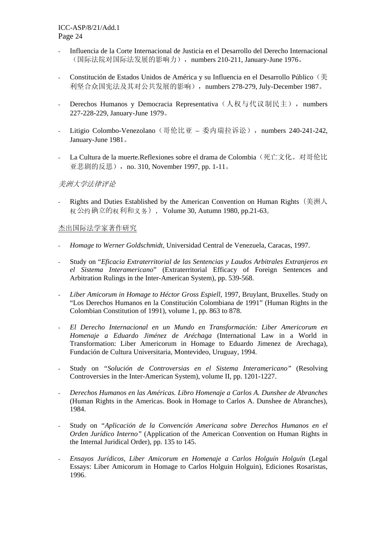- Influencia de la Corte Internacional de Justicia en el Desarrollo del Derecho Internacional (国际法院对国际法发展的影响力), numbers 210-211, January-June 1976。
- Constitución de Estados Unidos de América y su Influencia en el Desarrollo Público (美 利坚合众国宪法及其对公共发展的影响), numbers 278-279, July-December 1987。
- Derechos Humanos y Democracia Representativa (人权与代议制民主), numbers 227-228-229, January-June 1979。
- Litigio Colombo-Venezolano (哥伦比亚 委内瑞拉诉讼), numbers 240-241-242, January-June 1981。
- La Cultura de la muerte.Reflexiones sobre el drama de Colombia (死亡文化。对哥伦比 亚悲剧的反思), no. 310, November 1997, pp. 1-11。

# 美洲大学法律评论

Rights and Duties Established by the American Convention on Human Rights (美洲人 权公约确立的权利和义务),Volume 30, Autumn 1980, pp.21-63。

#### 杰出国际法学家著作研究

- *Homage to Werner Goldschmidt*, Universidad Central de Venezuela, Caracas, 1997.
- Study on "*Eficacia Extraterritorial de las Sentencias y Laudos Arbitrales Extranjeros en el Sistema Interamericano*" (Extraterritorial Efficacy of Foreign Sentences and Arbitration Rulings in the Inter-American System), pp. 539-568.
- *Liber Amicorum in Homage to Héctor Gross Espiell*, 1997, Bruylant, Bruxelles. Study on "Los Derechos Humanos en la Constitución Colombiana de 1991" (Human Rights in the Colombian Constitution of 1991), volume 1, pp. 863 to 878.
- *El Derecho Internacional en un Mundo en Transformación: Liber Americorum en Homenaje a Eduardo Jiménez de Aréchaga* (International Law in a World in Transformation: Liber Americorum in Homage to Eduardo Jimenez de Arechaga), Fundación de Cultura Universitaria, Montevideo, Uruguay, 1994.
- Study on *"Solución de Controversias en el Sistema Interamericano"* (Resolving Controversies in the Inter-American System), volume II, pp. 1201-1227.
- *Derechos Humanos en las Américas. Libro Homenaje a Carlos A. Dunshee de Abranches* (Human Rights in the Americas. Book in Homage to Carlos A. Dunshee de Abranches), 1984.
- Study on *"Aplicación de la Convención Americana sobre Derechos Humanos en el Orden Jurídico Interno"* (Application of the American Convention on Human Rights in the Internal Juridical Order), pp. 135 to 145.
- *Ensayos Jurídicos, Liber Amicorum en Homenaje a Carlos Holguín Holguín* (Legal Essays: Liber Amicorum in Homage to Carlos Holguin Holguin), Ediciones Rosaristas, 1996.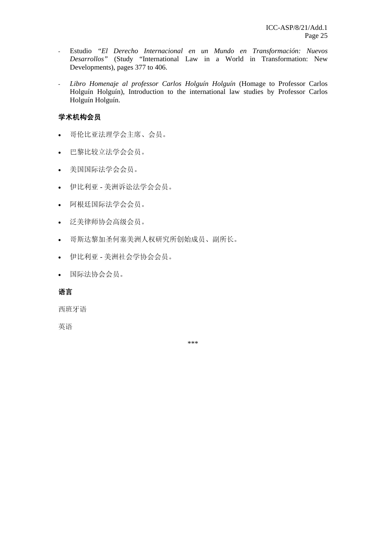- Estudio *"El Derecho Internacional en un Mundo en Transformación: Nuevos Desarrollos"* (Study "International Law in a World in Transformation: New Developments), pages 377 to 406.
- *Libro Homenaje al professor Carlos Holguín Holguín* (Homage to Professor Carlos Holguín Holguín), Introduction to the international law studies by Professor Carlos Holguín Holguín.

# 学术机构会员

- 哥伦比亚法理学会主席、会员。
- 巴黎比较立法学会会员。
- 美国国际法学会会员。
- 伊比利亚 美洲诉讼法学会会员。
- 阿根廷国际法学会会员。
- 泛美律师协会高级会员。
- 哥斯达黎加圣何塞美洲人权研究所创始成员、副所长。
- 伊比利亚 美洲社会学协会会员。
- 国际法协会会员。

# 语言

西班牙语

英语

\*\*\*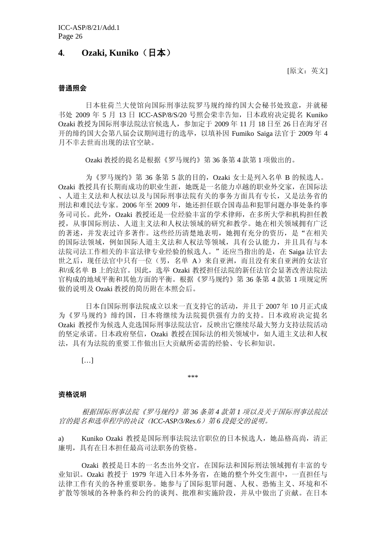# **4. Ozaki, Kuniko**(日本)

[原文:英文]

#### 普通照会

日本驻荷兰大使馆向国际刑事法院罗马规约缔约国大会秘书处致意,并就秘 书处 2009 年 5 月 13 日 ICC-ASP/8/S/20 号照会荣幸告知, 日本政府决定提名 Kuniko Ozaki 教授为国际刑事法院法官候选人,参加定于 2009 年 11 月 18 日至 26 日在海牙召 开的缔约国大会第八届会议期间进行的选举,以填补因 Fumiko Saiga 法官于 2009 年 4 月不幸去世而出现的法官空缺。

Ozaki 教授的提名是根据《罗马规约》第 36 条第 4 款第 1 项做出的。

为《罗马规约》第 36 条第 5 款的目的, Ozaki 女士是列入名单 B 的候选人。 Ozaki 教授具有长期而成功的职业生涯,她既是一名能力卓越的职业外交家,在国际法 、人道主义法和人权法以及与国际刑事法院有关的事务方面具有专长,又是法务省的 刑法和难民法专家。2006年至 2009年,她还担任联合国毒品和犯罪问题办事处条约事 务司司长。此外,Ozaki 教授还是一位经验丰富的学术律师,在多所大学和机构担任教 授,从事国际刑法、人道主义法和人权法领域的研究和教学。她在相关领域拥有广泛 的著述,并发表过许多著作。这些经历清楚地表明,她拥有充分的资历,是"在相关 的国际法领域,例如国际人道主义法和人权法等领域,具有公认能力,并且具有与本 法院司法工作相关的丰富法律专业经验的候选人。"还应当指出的是, 在 Saiga 法官去 世之后,现任法官中只有一位(男,名单 A)来自亚洲,而且没有来自亚洲的女法官 和/或名单 B 上的法官。因此,选举 Ozaki 教授担任法院的新任法官会显著改善法院法 官构成的地域平衡和其他方面的平衡。根据《罗马规约》第 36 条第 4 款第 1 项规定所 做的说明及 Ozaki 教授的简历附在本照会后。

日本自国际刑事法院成立以来一直支持它的活动,并且于 2007 年 10 月正式成 为《罗马规约》缔约国,日本将继续为法院提供强有力的支持。日本政府决定提名 Ozaki 教授作为候选人竞选国际刑事法院法官,反映出它继续尽最大努力支持法院活动 的坚定承诺。日本政府坚信,Ozaki 教授在国际法的相关领域中,如人道主义法和人权 法,具有为法院的重要工作做出巨大贡献所必需的经验、专长和知识。

[…]

\*\*\*

#### 资格说明

 根据国际刑事法院《罗马规约》第 *36* 条第 *4* 款第 *1* 项以及关于国际刑事法院法 官的提名和选举程序的决议(*ICC-ASP/3/Res.6*)第 *6* 段提交的说明。

a) Kuniko Ozaki 教授是国际刑事法院法官职位的日本候选人,她品格高尚,清正 廉明,具有在日本担任最高司法职务的资格。

Ozaki 教授是日本的一名杰出外交官,在国际法和国际刑法领域拥有丰富的专 业知识。Ozaki 教授于 1979 年进入日本外务省,在她的整个外交生涯中,一直担任与 法律工作有关的各种重要职务。她参与了国际犯罪问题、人权、恐怖主义、环境和不 扩散等领域的各种条约和公约的谈判、批准和实施阶段,并从中做出了贡献。在日本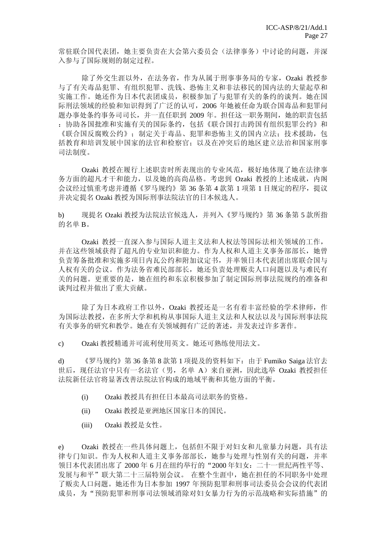常驻联合国代表团,她主要负责在大会第六委员会(法律事务)中讨论的问题,并深 入参与了国际规则的制定过程。

 除了外交生涯以外,在法务省,作为从属于刑事事务局的专家,Ozaki 教授参 与了有关毒品犯罪、有组织犯罪、洗钱、恐怖主义和非法移民的国内法的大量起草和 实施工作。她还作为日本代表团成员,积极参加了与犯罪有关的条约的谈判。她在国 际刑法领域的经验和知识得到了广泛的认可,2006 年她被任命为联合国毒品和犯罪问 题办事处条约事务司司长,并一直任职到 2009 年。担任这一职务期间,她的职责包括 :协助各国批准和实施有关的国际条约,包括《联合国打击跨国有组织犯罪公约》和 《联合国反腐败公约》;制定关于毒品、犯罪和恐怖主义的国内立法;技术援助,包 括教育和培训发展中国家的法官和检察官;以及在冲突后的地区建立法治和国家刑事 司法制度。

Ozaki 教授在履行上述职责时所表现出的专业风范,极好地体现了她在法律事 务方面的超凡才干和能力,以及她的高尚品格。考虑到 Ozaki 教授的上述成就,内阁 会议经过慎重考虑并遵循《罗马规约》第 36 条第 4 款第 1 项第 1 目规定的程序, 提议 并决定提名 Ozaki 教授为国际刑事法院法官的日本候选人。

b) 现提名 Ozaki 教授为法院法官候选人,并列入《罗马规约》第 36 条第 5 款所指 的名单 B。

Ozaki 教授一直深入参与国际人道主义法和人权法等国际法相关领域的工作, 并在这些领域获得了超凡的专业知识和能力。作为人权和人道主义事务部部长,她曾 负责筹备批准和实施多项日内瓦公约和附加议定书,并率领日本代表团出席联合国与 人权有关的会议。作为法务省难民部部长,她还负责处理贩卖人口问题以及与难民有 关的问题。更重要的是,她在纽约和东京积极参加了制定国际刑事法院规约的准备和 谈判过程并做出了重大贡献。

除了为日本政府工作以外, Ozaki 教授还是一名有着丰富经验的学术律师, 作 为国际法教授,在多所大学和机构从事国际人道主义法和人权法以及与国际刑事法院 有关事务的研究和教学。她在有关领域拥有广泛的著述,并发表过许多著作。

c) Ozaki 教授精通并可流利使用英文。她还可熟练使用法文。

d) 《罗马规约》第 36 条第 8 款第 1 项提及的资料如下: 由于 Fumiko Saiga 法官去 世后,现任法官中只有一名法官(男,名单 A)来自亚洲,因此选举 Ozaki 教授担任 法院新任法官将显著改善法院法官构成的地域平衡和其他方面的平衡。

- (i) Ozaki 教授具有担任日本最高司法职务的资格。
- (ii) Ozaki 教授是亚洲地区国家日本的国民。
- (iii) Ozaki 教授是女性。

e) Ozaki 教授在一些具体问题上,包括但不限于对妇女和儿童暴力问题,具有法 律专门知识。作为人权和人道主义事务部部长,她参与处理与性别有关的问题,并率 领日本代表团出席了 2000 年 6 月在纽约举行的"2000 年妇女:二十一世纪两性平等、 发展与和平"联大第二十三届特别会议。在整个生涯中,她在担任的不同职务中处理 了贩卖人口问题。她还作为日本参加 1997 年预防犯罪和刑事司法委员会会议的代表团 成员,为"预防犯罪和刑事司法领域消除对妇女暴力行为的示范战略和实际措施"的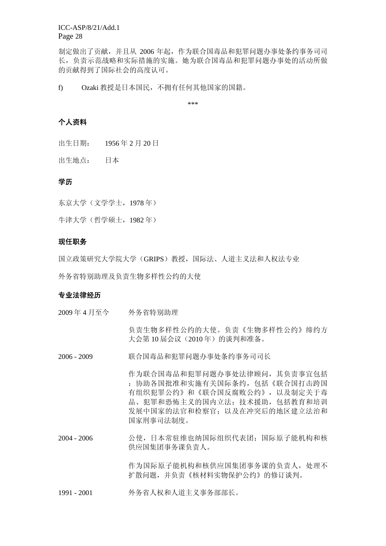ICC-ASP/8/21/Add.1 Page 28

制定做出了贡献,并且从 2006 年起,作为联合国毒品和犯罪问题办事处条约事务司司 长,负责示范战略和实际措施的实施。她为联合国毒品和犯罪问题办事处的活动所做 的贡献得到了国际社会的高度认可。

f) Ozaki 教授是日本国民,不拥有任何其他国家的国籍。

\*\*\*

# 个人资料

出生日期: 1956 年 2 月 20 日

出生地点: 日本

#### 学历

东京大学(文学学士,1978 年)

牛津大学(哲学硕士,1982 年)

#### 现任职务

国立政策研究大学院大学(GRIPS)教授,国际法、人道主义法和人权法专业

外务省特别助理及负责生物多样性公约的大使

#### 专业法律经历

2009 年 4 月至今 外务省特别助理

 负责生物多样性公约的大使。负责《生物多样性公约》缔约方 大会第10届会议(2010年)的谈判和准备。

2006 - 2009 联合国毒品和犯罪问题办事处条约事务司司长

 作为联合国毒品和犯罪问题办事处法律顾问,其负责事宜包括 :协助各国批准和实施有关国际条约,包括《联合国打击跨国 有组织犯罪公约》和《联合国反腐败公约》,以及制定关于毒 品、犯罪和恐怖主义的国内立法;技术援助,包括教育和培训 发展中国家的法官和检察官;以及在冲突后的地区建立法治和 国家刑事司法制度。

2004 - 2006 公使,日本常驻维也纳国际组织代表团;国际原子能机构和核 供应国集团事务课负责人。

> 作为国际原子能机构和核供应国集团事务课的负责人,处理不 扩散问题,并负责《核材料实物保护公约》的修订谈判。

1991 - 2001 外务省人权和人道主义事务部部长。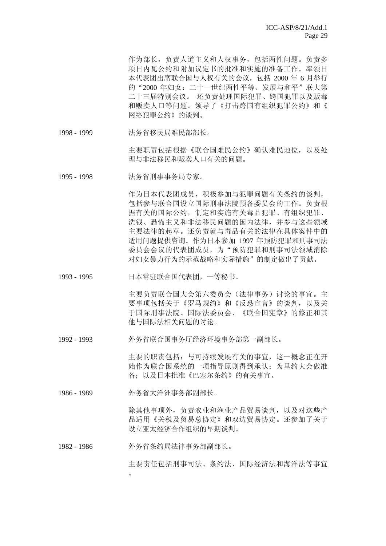作为部长,负责人道主义和人权事务,包括两性问题。负责多 项日内瓦公约和附加议定书的批准和实施的准备工作。率领日 本代表团出席联合国与人权有关的会议,包括 2000 年 6 月举行 的"2000年妇女:二十一世纪两性平等、发展与和平"联大第 二十三届特别会议。 还负责处理国际犯罪、跨国犯罪以及贩毒 和贩卖人口等问题。领导了《打击跨国有组织犯罪公约》和《 网络犯罪公约》的谈判。

1998 - 1999 法务省移民局难民部部长。

主要职责包括根据《联合国难民公约》确认难民地位,以及处 理与非法移民和贩卖人口有关的问题。

1995 - 1998 法务省刑事事务局专家。

 作为日本代表团成员,积极参加与犯罪问题有关条约的谈判, 包括参与联合国设立国际刑事法院预备委员会的工作。负责根 据有关的国际公约,制定和实施有关毒品犯罪、有组织犯罪、 洗钱、恐怖主义和非法移民问题的国内法律,并参与这些领域 主要法律的起草。还负责就与毒品有关的法律在具体案件中的 适用问题提供咨询。作为日本参加 1997 年预防犯罪和刑事司法 委员会会议的代表团成员,为"预防犯罪和刑事司法领域消除 对妇女暴力行为的示范战略和实际措施"的制定做出了贡献。

1993 - 1995 日本常驻联合国代表团,一等秘书。

主要负责联合国大会第六委员会(法律事务)讨论的事宜。主 要事项包括关于《罗马规约》和《反恐宣言》的谈判,以及关 于国际刑事法院、国际法委员会、《联合国宪章》的修正和其 他与国际法相关问题的讨论。

1992 - 1993 外务省联合国事务厅经济环境事务部第一副部长。

主要的职责包括:与可持续发展有关的事宜,这一概念正在开 始作为联合国系统的一项指导原则得到承认;为里约大会做准 备;以及日本批准《巴塞尔条约》的有关事宜。

1986 - 1989 外务省大洋洲事务部副部长。

 除其他事项外,负责农业和渔业产品贸易谈判,以及对这些产 品适用《关税及贸易总协定》和双边贸易协定。还参加了关于 设立亚太经济合作组织的早期谈判。

1982 - 1986 外务省条约局法律事务部副部长。

 $\circ$ 

主要责任包括刑事司法、条约法、国际经济法和海洋法等事宜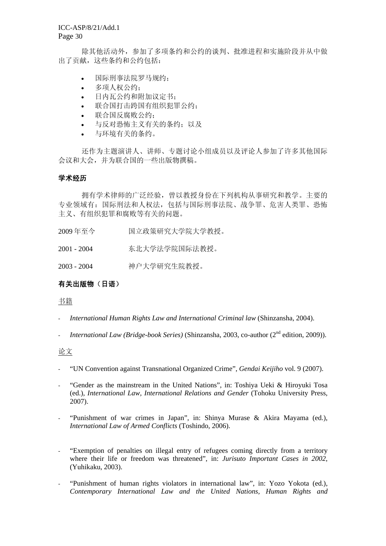除其他活动外,参加了多项条约和公约的谈判、批准进程和实施阶段并从中做 出了贡献,这些条约和公约包括:

- 国际刑事法院罗马规约;
- 多项人权公约;
- 日内瓦公约和附加议定书;
- 联合国打击跨国有组织犯罪公约;
- 联合国反腐败公约;
- 与反对恐怖主义有关的条约;以及
- 与环境有关的条约。

 还作为主题演讲人、讲师、专题讨论小组成员以及评论人参加了许多其他国际 会议和大会,并为联合国的一些出版物撰稿。

#### 学术经历

 拥有学术律师的广泛经验,曾以教授身份在下列机构从事研究和教学。主要的 专业领域有:国际刑法和人权法,包括与国际刑事法院、战争罪、危害人类罪、恐怖 主义、有组织犯罪和腐败等有关的问题。

- 2009 年至今 国立政策研究大学院大学教授。
- 2001 2004 东北大学法学院国际法教授。

2003 - 2004 神户大学研究生院教授。

# 有关出版物(日语)

#### 书籍

- *International Human Rights Law and International Criminal law* (Shinzansha, 2004).
- *International Law (Bridge-book Series)* (Shinzansha, 2003, co-author (2nd edition, 2009)).

#### 论文

- "UN Convention against Transnational Organized Crime", *Gendai Keijiho* vol. 9 (2007).
- "Gender as the mainstream in the United Nations", in: Toshiya Ueki & Hiroyuki Tosa (ed.), *International Law, International Relations and Gender* (Tohoku University Press, 2007).
- "Punishment of war crimes in Japan", in: Shinya Murase  $\&$  Akira Mayama (ed.), *International Law of Armed Conflicts* (Toshindo, 2006).
- "Exemption of penalties on illegal entry of refugees coming directly from a territory where their life or freedom was threatened", in: *Jurisuto Important Cases in 2002*, (Yuhikaku, 2003).
- "Punishment of human rights violators in international law", in: Yozo Yokota (ed.), *Contemporary International Law and the United Nations, Human Rights and*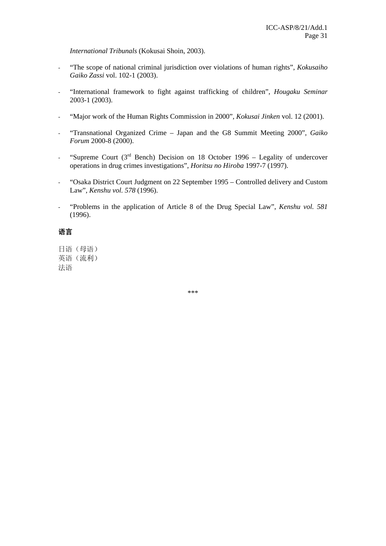*International Tribunals* (Kokusai Shoin, 2003).

- "The scope of national criminal jurisdiction over violations of human rights", *Kokusaiho Gaiko Zassi* vol. 102-1 (2003).
- "International framework to fight against trafficking of children", *Hougaku Seminar* 2003-1 (2003).
- "Major work of the Human Rights Commission in 2000", *Kokusai Jinken* vol. 12 (2001).
- "Transnational Organized Crime Japan and the G8 Summit Meeting 2000", *Gaiko Forum* 2000-8 (2000).
- "Supreme Court  $(3<sup>rd</sup>$  Bench) Decision on 18 October 1996 Legality of undercover operations in drug crimes investigations", *Horitsu no Hiroba* 1997-7 (1997).
- "Osaka District Court Judgment on 22 September 1995 Controlled delivery and Custom Law", *Kenshu vol. 578* (1996).
- "Problems in the application of Article 8 of the Drug Special Law", *Kenshu vol. 581* (1996).

# 语言

日语(母语) 英语(流利) 法语

\*\*\*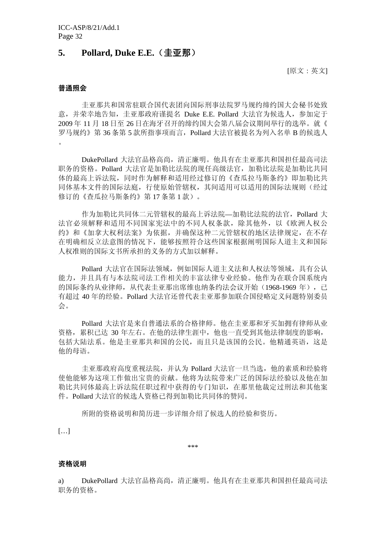# **5. Pollard, Duke E.E.**(圭亚那)

[原文:英文]

#### 普通照会

圭亚那共和国常驻联合国代表团向国际刑事法院罗马规约缔约国大会秘书处致 意,并荣幸地告知,圭亚那政府谨提名 Duke E.E. Pollard 大法官为候选人,参加定于 2009 年 11 月 18 日至 26 日在海牙召开的缔约国大会第八届会议期间举行的选举。就《 罗马规约》第 36 条第 5 款所指事项而言,Pollard 大法官被提名为列入名单 B 的候选人 。

DukePollard 大法官品格高尚,清正廉明。他具有在圭亚那共和国担任最高司法 职务的资格。Pollard 大法官是加勒比法院的现任高级法官,加勒比法院是加勒比共同 体的最高上诉法院,同时作为解释和适用经过修订的《查瓜拉马斯条约》即加勒比共 同体基本文件的国际法庭,行使原始管辖权,其间适用可以适用的国际法规则(经过 修订的《杳瓜拉马斯条约》第17条第1款)。

作为加勒比共同体二元管辖权的最高上诉法院—加勒比法院的法官,Pollard 大 法官必须解释和适用不同国家宪法中的不同人权条款,除其他外,以《欧洲人权公 约》和《加拿大权利法案》为依据,并确保这种二元管辖权的地区法律规定,在不存 在明确相反立法意图的情况下,能够按照符合这些国家根据阐明国际人道主义和国际 人权准则的国际文书所承担的义务的方式加以解释。

Pollard 大法官在国际法领域,例如国际人道主义法和人权法等领域,具有公认 能力,并且具有与本法院司法工作相关的丰富法律专业经验。他作为在联合国系统内 的国际条约从业律师,从代表圭亚那出席维也纳条约法会议开始(1968-1969年),已 有超过 40 年的经验。Pollard 大法官还曾代表圭亚那参加联合国侵略定义问题特别委员 会。

Pollard 大法官是来自普通法系的合格律师。他在圭亚那和牙买加拥有律师从业 资格,累积已达 30 年左右。在他的法律生涯中,他也一直受到其他法律制度的影响, 包括大陆法系。他是圭亚那共和国的公民,而且只是该国的公民。他精通英语,这是 他的母语。

圭亚那政府高度重视法院,并认为 Pollard 大法官一旦当选,他的素质和经验将 使他能够为这项工作做出宝贵的贡献。他将为法院带来广泛的国际法经验以及他在加 勒比共同体最高上诉法院任职过程中获得的专门知识,在那里他裁定过刑法和其他案 件。Pollard 大法官的候选人资格已得到加勒比共同体的赞同。

所附的资格说明和简历进一步详细介绍了候选人的经验和资历。

[…]

\*\*\*

#### 资格说明

a) DukePollard 大法官品格高尚,清正廉明。他具有在圭亚那共和国担任最高司法 职务的资格。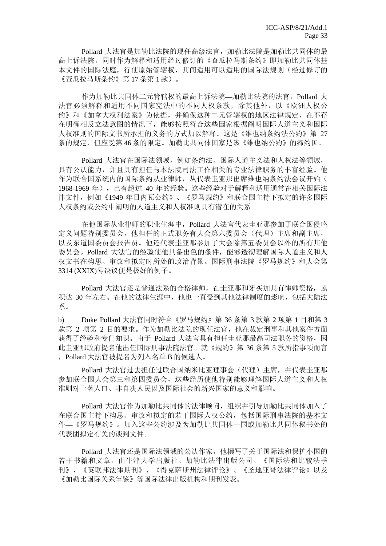Pollard 大法官是加勒比法院的现任高级法官,加勒比法院是加勒比共同体的最 高上诉法院,同时作为解释和适用经过修订的《查瓜拉马斯条约》即加勒比共同体基 本文件的国际法庭,行使原始管辖权,其间适用可以适用的国际法规则(经过修订的 《查瓜拉马斯条约》第 17 条第 1 款)。

作为加勒比共同体二元管辖权的最高上诉法院—加勒比法院的法官,Pollard 大 法官必须解释和适用不同国家宪法中的不同人权条款,除其他外,以《欧洲人权公 约》和《加拿大权利法案》为依据,并确保这种二元管辖权的地区法律规定,在不存 在明确相反立法意图的情况下,能够按照符合这些国家根据阐明国际人道主义和国际 人权准则的国际文书所承担的义务的方式加以解释。这是《维也纳条约法公约》第 27 条的规定,但应受第 46 条的限定。加勒比共同体国家是该《维也纳公约》的缔约国。

Pollard 大法官在国际法领域,例如条约法、国际人道主义法和人权法等领域, 具有公认能力,并且具有担任与本法院司法工作相关的专业法律职务的丰富经验。他 作为联合国系统内的国际条约从业律师,从代表圭亚那出席维也纳条约法会议开始( 1968-1969 年),已有超过 40 年的经验。这些经验对于解释和适用通常在相关国际法 律文件,例如《1949 年日内瓦公约》、《罗马规约》和联合国主持下拟定的许多国际 人权条约或公约中阐明的人道主义和人权准则具有潜在的关系。

在他国际从业律师的职业生涯中,Pollard 大法官代表圭亚那参加了联合国侵略 定义问题特别委员会。他担任的正式职务有大会第六委员会(代理)主席和副主席, 以及东道国委员会报告员。他还代表圭亚那参加了大会除第五委员会以外的所有其他 委员会。Pollard 大法官的经验使他具备出色的条件,能够透彻理解国际人道主义和人 权文书在构思、审议和拟定时所处的政治背景。国际刑事法院《罗马规约》和大会第 3314 (XXIX)号决议便是极好的例子。

Pollard 大法官还是普通法系的合格律师,在圭亚那和牙买加具有律师资格,累 积达 30 年左右。在他的法律生涯中,他也一直受到其他法律制度的影响,包括大陆法 系。

b) Duke Pollard 大法官同时符合《罗马规约》第 36 条第 3 款第 2 项第 1 目和第 3 款第 2 项第 2 目的要求。作为加勒比法院的现任法官,他在裁定刑事和其他案件方面 获得了经验和专门知识。由于 Pollard 大法官具有担任圭亚那最高司法职务的资格,因 此圭亚那政府提名他出任国际刑事法院法官。就《规约》第 36 条第 5 款所指事项而言 ,Pollard 大法官被提名为列入名单 B 的候选人。

Pollard 大法官过去担任过联合国纳米比亚理事会(代理)主席,并代表圭亚那 参加联合国大会第三和第四委员会,这些经历使他特别能够理解国际人道主义和人权 准则对土著人口、非自决人民以及国际社会的新兴国家的意义和影响。

Pollard 大法官作为加勒比共同体的法律顾问,组织并引导加勒比共同体加入了 在联合国主持下构思、审议和拟定的若干国际人权公约,包括国际刑事法院的基本文 件—《罗马规约》。加入这些公约涉及为加勒比共同体一国或加勒比共同体秘书处的 代表团拟定有关的谈判文件。

Pollard 大法官还是国际法领域的公认作家,他撰写了关于国际法和保护小国的 若干书籍和文章,由牛津大学出版社、加勒比法律出版公司、《国际法和比较法季 刊》、《英联邦法律期刊》、《得克萨斯州法律评论》、《圣地亚哥法律评论》以及 《加勒比国际关系年鉴》等国际法律出版机构和期刊发表。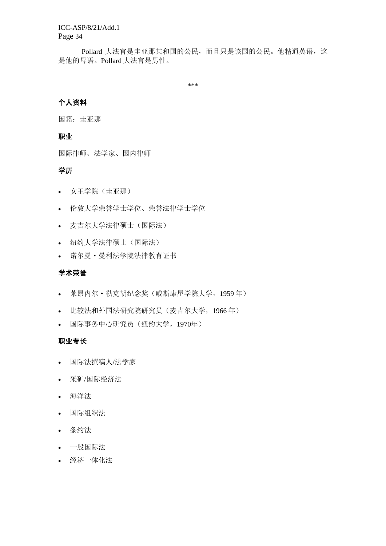ICC-ASP/8/21/Add.1 Page 34

Pollard 大法官是圭亚那共和国的公民,而且只是该国的公民。他精通英语,这 是他的母语。Pollard 大法官是男性。

\*\*\*

# 个人资料

国籍:圭亚那

# 职业

国际律师、法学家、国内律师

## 学历

- 女王学院(圭亚那)
- 伦敦大学荣誉学士学位、荣誉法律学士学位
- 麦吉尔大学法律硕士(国际法)
- 纽约大学法律硕士(国际法)
- 诺尔曼·曼利法学院法律教育证书

### 学术荣誉

- 莱昂内尔·勒克胡纪念奖(威斯康星学院大学,1959 年)
- 比较法和外国法研究院研究员(麦吉尔大学,1966 年)
- 国际事务中心研究员(纽约大学,1970年)

# 职业专长

- 国际法撰稿人/法学家
- 采矿/国际经济法
- 海洋法
- 国际组织法
- 条约法
- 一般国际法
- 经济一体化法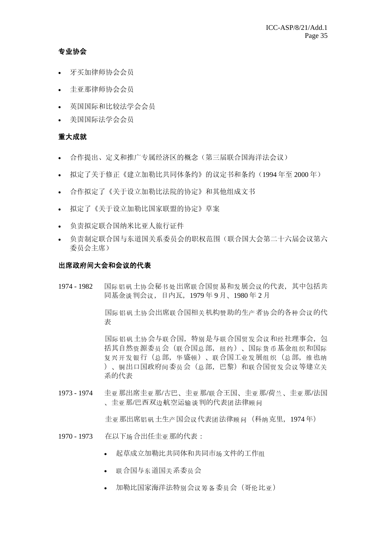# 专业协会

- 牙买加律师协会会员
- 圭亚那律师协会会员
- 英国国际和比较法学会会员
- 美国国际法学会会员

# 重大成就

- 合作提出、定义和推广专属经济区的概念(第三届联合国海洋法会议)
- 拟定了关于修正《建立加勒比共同体条约》的议定书和条约(1994 年至 2000 年)
- 合作拟定了《关于设立加勒比法院的协定》和其他组成文书
- 拟定了《关于设立加勒比国家联盟的协定》草案
- 负责拟定联合国纳米比亚人旅行证件
- 负责制定联合国与东道国关系委员会的职权范围(联合国大会第二十六届会议第六 委员会主席)

#### 出席政府间大会和会议的代表

1974 - 1982 国际铝矾土协会秘书处出席联合国贸易和发展会议的代表,其中包括共 同基金谈判会议,日内瓦,1979 年 9 月、1980 年 2 月

> 国际铝矾土协会出席联合国相关机构赞助的生产者协会的各种会议的代 表

> 国际铝矾土协会与联合国,特别是与联合国贸发会议和经社理事会,包 括其自然资源委员会(联合国总部,纽约)、国际货币基金组织和国际 复兴开发银行(总部,华盛顿)、联合国工业发展组织(总部,维也纳 )、铜出口国政府间委员会(总部,巴黎)和联合国贸发会议等建立关 系的代表

1973 - 1974 圭亚那出席圭亚那/古巴、圭亚那/联合王国、圭亚那/荷兰、圭亚那/法国 、圭亚那/巴西双边航空运输谈判的代表团法律顾问

圭亚那出席铝矾土生产国会议代表团法律顾问(科纳克里,1974 年)

- 1970 1973 在以下场合出任圭亚那的代表:
	- 起草成立加勒比共同体和共同市场文件的工作组
	- 联合国与东道国关系委员会
	- 加勒比国家海洋法特别会议筹备委员会(哥伦比亚)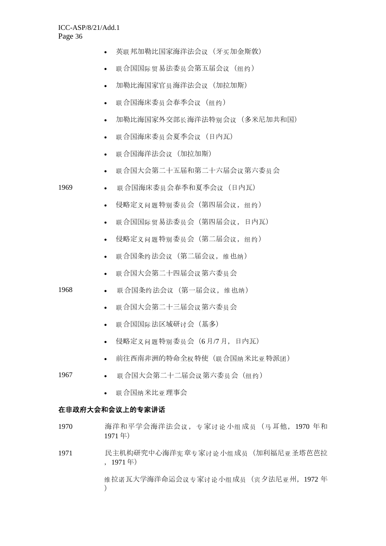| (牙买加金斯敦)<br>英联邦加勒比国家海洋法会议 |
|---------------------------|
|---------------------------|

- 联合国国际贸易法委员会第五届会议(纽约)
- 加勒比海国家官员海洋法会议(加拉加斯)
- 联合国海床委员会春季会议(纽约)
- 加勒比海国家外交部长海洋法特别会议(多米尼加共和国)
- 联合国海床委员会夏季会议(日内瓦)
- 联合国海洋法会议(加拉加斯)
- 联合国大会第二十五届和第二十六届会议第六委员会
- 1969 联合国海床委员会春季和夏季会议(日内瓦)
	- 侵略定义问题特别委员会(第四届会议,纽约)
	- 联合国国际贸易法委员会(第四届会议,日内瓦)
	- 侵略定义问题特别委员会(第二届会议,纽约)
	- 联合国条约法会议(第二届会议,维也纳)
	- 联合国大会第二十四届会议第六委员会
- 1968 联合国条约法会议(第一届会议,维也纳)
	- 联合国大会第二十三届会议第六委员会
	- 联合国国际法区域研讨会(基多)
	- 侵略定义问题特别委员会(6 月/7 月,日内瓦)
	- 前往西南非洲的特命全权特使(联合国纳米比亚特派团)
- 1967 联合国大会第二十二届会议第六委员会(纽约)
	- 联合国纳米比亚理事会

#### 在非政府大会和会议上的专家讲话

- 1970 海洋和平学会海洋法会议,专家讨论小组成员 (马耳他, 1970 年和 1971 年)
- 1971 民主机构研究中心海洋宪章专家讨论小组成员(加利福尼亚圣塔芭芭拉 ,1971 年)

维拉诺瓦大学海洋命运会议专家讨论小组成员(宾夕法尼亚州,1972 年 )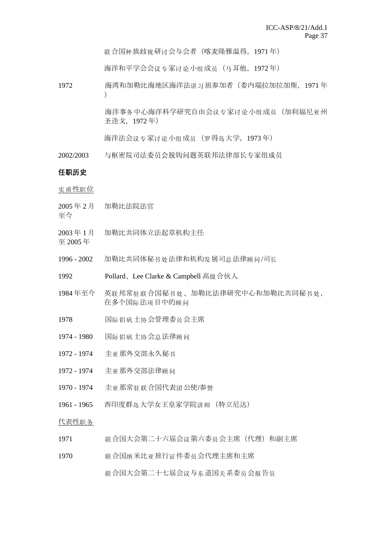联合国种族歧视研讨会与会者(喀麦隆雅温得, 1971年)

海洋和平学会会议专家讨论小组成员(马耳他,1972 年)

1972 海湾和加勒比海地区海洋法讲习班参加者(委内瑞拉加拉加斯,1971 年  $\lambda$ 

> 海洋事务中心海洋科学研究自由会议专家讨论小组成员(加利福尼亚州 圣迭戈,1972 年)

海洋法会议专家讨论小组成员(罗得岛大学, 1973年)

2002/2003 与枢密院司法委员会脱钩问题英联邦法律部长专家组成员

#### 任职历史

实质性职位

- 2005 年 2 月 加勒比法院法官
- 至今
- 2003 年 1 月 加勒比共同体立法起草机构主任
- 至 2005 年
- 1996 2002 加勒比共同体秘书处法律和机构发展司总法律顾问/司长
- 1992 Pollard、Lee Clarke & Campbell 高级合伙人
- 1984 年至今 英联邦常驻联合国秘书处、加勒比法律研究中心和加勒比共同秘书处, 在多个国际法项目中的顾问
- 1978 国际铝矾土协会管理委员会主席
- 1974 1980 国际铝矾土协会总法律顾问
- 1972 1974 圭亚那外交部永久秘书
- 1972 1974 圭亚那外交部法律顾问
- 1970 1974 圭亚那常驻联合国代表团公使/参赞
- 1961 1965 西印度群岛大学女王皇家学院讲师(特立尼达)

代表性职务

- 1971 联合国大会第二十六届会议第六委员会主席(代理)和副主席
- 1970 联合国纳米比亚旅行证件委员会代理主席和主席 联合国大会第二十七届会议与东道国关系委员会报告员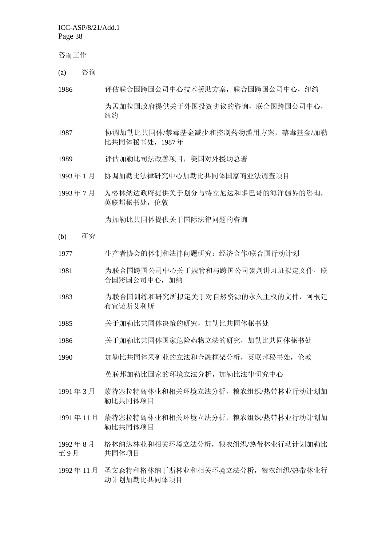ICC-ASP/8/21/Add.1 Page 38

#### 咨询工作

- (a) 咨询
- 1986 评估联合国跨国公司中心技术援助方案,联合国跨国公司中心,纽约 为孟加拉国政府提供关于外国投资协议的咨询,联合国跨国公司中心, 纽约
- 1987 协调加勒比共同体/禁毒基金减少和控制药物滥用方案,禁毒基金/加勒 比共同体秘书处,1987 年
- 1989 评估加勒比司法改善项目,美国对外援助总署
- 1993 年 1 月 协调加勒比法律研究中心加勒比共同体国家商业法调查项目
- 1993 年 7 月 为格林纳达政府提供关于划分与特立尼达和多巴哥的海洋疆界的咨询, 英联邦秘书处,伦敦

为加勒比共同体提供关于国际法律问题的咨询

- (b) 研究
- 1977 生产者协会的体制和法律问题研究:经济合作/联合国行动计划
- 1981 为联合国跨国公司中心关于规管和与跨国公司谈判讲习班拟定文件,联 合国跨国公司中心,加纳
- 1983 为联合国训练和研究所拟定关于对自然资源的永久主权的文件,阿根廷 布宜诺斯艾利斯
- 1985 关于加勒比共同体决策的研究,加勒比共同体秘书处
- 1986 关于加勒比共同体国家危险药物立法的研究,加勒比共同体秘书处
- 1990 加勒比共同体采矿业的立法和金融框架分析,英联邦秘书处,伦敦

英联邦加勒比国家的环境立法分析,加勒比法律研究中心

- 1991 年 3 月 蒙特塞拉特岛林业和相关环境立法分析,粮农组织/热带林业行动计划加 勒比共同体项目
- 1991 年 11 月 蒙特塞拉特岛林业和相关环境立法分析,粮农组织/热带林业行动计划加 勒比共同体项目
- 1992 年 8 月 至 9 月 格林纳达林业和相关环境立法分析,粮农组织/热带林业行动计划加勒比 共同体项目
- 1992年11月 圣文森特和格林纳丁斯林业和相关环境立法分析,粮农组织/热带林业行 动计划加勒比共同体项目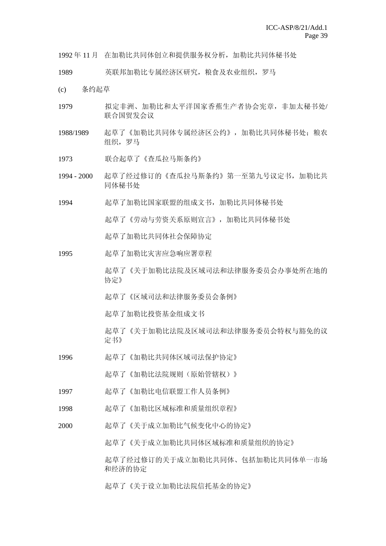1992 年 11 月 在加勒比共同体创立和提供服务权分析,加勒比共同体秘书处

1989 英联邦加勒比专属经济区研究,粮食及农业组织,罗马

- (c) 条约起草
- 1979 拟定非洲、加勒比和太平洋国家香蕉生产者协会宪章,非加太秘书处/ 联合国贸发会议
- 1988/1989 起草了《加勒比共同体专属经济区公约》,加勒比共同体秘书处:粮农 组织,罗马
- 1973 联合起草了《查瓜拉马斯条约》
- 1994 2000 起草了经过修订的《杳瓜拉马斯条约》第一至第九号议定书, 加勒比共 同体秘书处
- 1994 起草了加勒比国家联盟的组成文书,加勒比共同体秘书处

起草了《劳动与劳资关系原则宣言》,加勒比共同体秘书处

起草了加勒比共同体社会保障协定

- 1995 起草了加勒比灾害应急响应署章程
	- 起草了《关于加勒比法院及区域司法和法律服务委员会办事处所在地的 协定》
	- 起草了《区域司法和法律服务委员会条例》
	- 起草了加勒比投资基金组成文书
	- 起草了《关于加勒比法院及区域司法和法律服务委员会特权与豁免的议 定书》
- 1996 起草了《加勒比共同体区域司法保护协定》
	- 起草了《加勒比法院规则(原始管辖权)》
- 1997 起草了《加勒比电信联盟工作人员条例》
- 1998 起草了《加勒比区域标准和质量组织章程》
- 2000 起草了《关于成立加勒比气候变化中心的协定》
	- 起草了《关于成立加勒比共同体区域标准和质量组织的协定》

起草了经过修订的关于成立加勒比共同体、包括加勒比共同体单一市场 和经济的协定

起草了《关于设立加勒比法院信托基金的协定》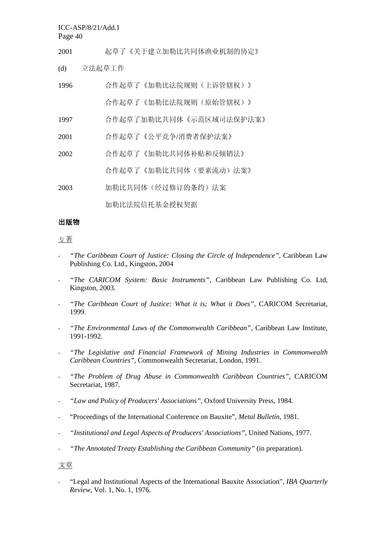ICC-ASP/8/21/Add.1

Page 40

- 2001 起草了《关于建立加勒比共同体渔业机制的协定》
- (d) 立法起草工作

| 1996 | 合作起草了《加勒比法院规则(上诉管辖权)》   |
|------|-------------------------|
|      | 合作起草了《加勒比法院规则(原始管辖权)》   |
| 1997 | 合作起草了加勒比共同体《示范区域司法保护法案》 |
| 2001 | 合作起草了《公平竞争/消费者保护法案》     |
| 2002 | 合作起草了《加勒比共同体补贴和反倾销法》    |
|      | 合作起草了《加勒比共同体(要素流动)法案》   |
| 2003 | 加勒比共同体(经过修订的条约)法案       |

加勒比法院信托基金授权契据

# 出版物

# 专著

- *"The Caribbean Court of Justice: Closing the Circle of Independence"*, Caribbean Law Publishing Co. Ltd., Kingston, 2004
- *"The CARICOM System: Basic Instruments"*, Caribbean Law Publishing Co. Ltd, Kingston, 2003.
- *"The Caribbean Court of Justice: What it is; What it Does",* CARICOM Secretariat, 1999.
- *"The Environmental Laws of the Commonwealth Caribbean",* Caribbean Law Institute, 1991-1992.
- *"The Legislative and Financial Framework of Mining Industries in Commonwealth Caribbean Countries",* Commonwealth Secretariat, London, 1991.
- *"The Problem of Drug Abuse in Commonwealth Caribbean Countries",* CARICOM Secretariat, 1987.
- *"Law and Policy of Producers' Associations",* Oxford University Press, 1984.
- "Proceedings of the International Conference on Bauxite", *Metal Bulletin,* 1981.
- *"Institutional and Legal Aspects of Producers' Associations",* United Nations, 1977.
- *"The Annotated Treaty Establishing the Caribbean Community"* (in preparation).

# 文章

- "Legal and Institutional Aspects of the International Bauxite Association", *IBA Quarterly Review*, Vol. 1, No. 1, 1976.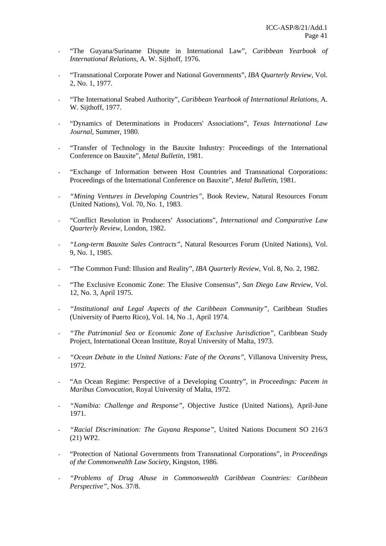- "The Guyana/Suriname Dispute in International Law", *Caribbean Yearbook of International Relations*, A. W. Sijthoff, 1976.
- "Transnational Corporate Power and National Governments", *IBA Quarterly Review,* Vol. 2, No. 1, 1977.
- "The International Seabed Authority", *Caribbean Yearbook of International Relations,* A. W. Sijthoff, 1977.
- "Dynamics of Determinations in Producers' Associations", *Texas International Law Journal,* Summer, 1980.
- "Transfer of Technology in the Bauxite Industry: Proceedings of the International Conference on Bauxite", *Metal Bulletin,* 1981.
- "Exchange of Information between Host Countries and Transnational Corporations: Proceedings of the International Conference on Bauxite", *Metal Bulletin,* 1981.
- *"Mining Ventures in Developing Countries"*, Book Review, Natural Resources Forum (United Nations), Vol. 70, No. 1, 1983.
- "Conflict Resolution in Producers' Associations", *International and Comparative Law Quarterly Review,* London, 1982.
- *"Long-term Bauxite Sales Contracts"*, Natural Resources Forum (United Nations), Vol. 9, No. 1, 1985.
- "The Common Fund: Illusion and Reality", *IBA Quarterly Review*, Vol. 8, No. 2, 1982.
- "The Exclusive Economic Zone: The Elusive Consensus", San Diego Law Review, Vol. 12, No. 3, April 1975.
- *"Institutional and Legal Aspects of the Caribbean Community",* Caribbean Studies (University of Puerto Rico), Vol. 14, No .1, April 1974.
- *"The Patrimonial Sea or Economic Zone of Exclusive Jurisdiction"*, Caribbean Study Project, International Ocean Institute, Royal University of Malta, 1973.
- *"Ocean Debate in the United Nations: Fate of the Oceans",* Villanova University Press, 1972.
- "An Ocean Regime: Perspective of a Developing Country", in *Proceedings: Pacem in Maribus Convocation*, Royal University of Malta, 1972.
- *"Namibia: Challenge and Response",* Objective Justice (United Nations), April-June 1971.
- "Racial Discrimination: The Guyana Response", United Nations Document SO 216/3 (21) WP2.
- "Protection of National Governments from Transnational Corporations", in *Proceedings of the Commonwealth Law Society*, Kingston, 1986.
- *"Problems of Drug Abuse in Commonwealth Caribbean Countries: Caribbean Perspective",* Nos. 37/8.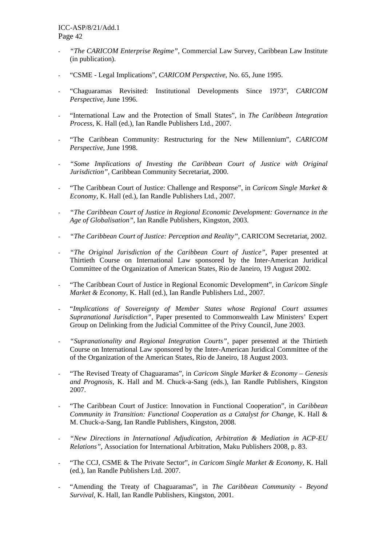- *"The CARICOM Enterprise Regime",* Commercial Law Survey, Caribbean Law Institute (in publication).
- "CSME Legal Implications", *CARICOM Perspective*, No. 65, June 1995.
- "Chaguaramas Revisited: Institutional Developments Since 1973", *CARICOM Perspective*, June 1996.
- "International Law and the Protection of Small States", in *The Caribbean Integration Process*, K. Hall (ed.), Ian Randle Publishers Ltd., 2007.
- "The Caribbean Community: Restructuring for the New Millennium", *CARICOM Perspective,* June 1998.
- *"Some Implications of Investing the Caribbean Court of Justice with Original Jurisdiction",* Caribbean Community Secretariat, 2000.
- "The Caribbean Court of Justice: Challenge and Response", in *Caricom Single Market & Economy,* K. Hall (ed.), Ian Randle Publishers Ltd., 2007.
- *"The Caribbean Court of Justice in Regional Economic Development: Governance in the Age of Globalisation"*, Ian Randle Publishers, Kingston, 2003.
- *"The Caribbean Court of Justice: Perception and Reality",* CARICOM Secretariat, 2002.
- *"The Original Jurisdiction of the Caribbean Court of Justice",* Paper presented at Thirtieth Course on International Law sponsored by the Inter-American Juridical Committee of the Organization of American States, Rio de Janeiro, 19 August 2002.
- "The Caribbean Court of Justice in Regional Economic Development", in *Caricom Single Market & Economy*, K. Hall (ed.), Ian Randle Publishers Ltd., 2007.
- "*Implications of Sovereignty of Member States whose Regional Court assumes Supranational Jurisdiction",* Paper presented to Commonwealth Law Ministers' Expert Group on Delinking from the Judicial Committee of the Privy Council, June 2003.
- "Supranationality and Regional Integration Courts", paper presented at the Thirtieth Course on International Law sponsored by the Inter-American Juridical Committee of the of the Organization of the American States, Rio de Janeiro, 18 August 2003.
- "The Revised Treaty of Chaguaramas", in *Caricom Single Market & Economy Genesis and Prognosis,* K. Hall and M. Chuck-a-Sang (eds.), Ian Randle Publishers, Kingston 2007.
- "The Caribbean Court of Justice: Innovation in Functional Cooperation", in *Caribbean Community in Transition: Functional Cooperation as a Catalyst for Change,* K. Hall & M. Chuck-a-Sang, Ian Randle Publishers, Kingston, 2008.
- *"New Directions in International Adjudication, Arbitration & Mediation in ACP-EU Relations"*, Association for International Arbitration, Maku Publishers 2008, p. 83.
- "The CCJ, CSME & The Private Sector", *in Caricom Single Market & Economy,* K. Hall (ed.), Ian Randle Publishers Ltd. 2007.
- "Amending the Treaty of Chaguaramas", in *The Caribbean Community Beyond Survival*, K. Hall, Ian Randle Publishers, Kingston, 2001.